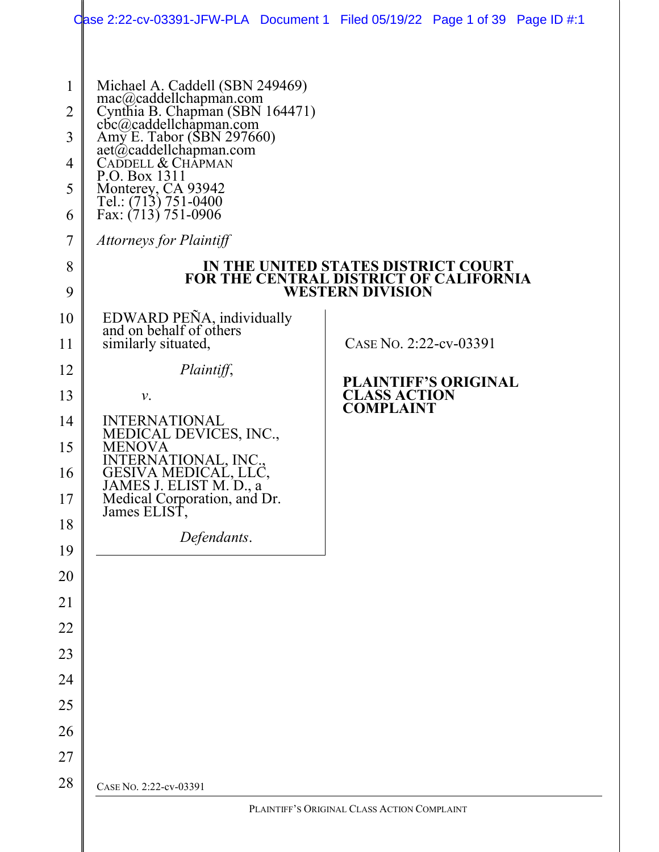|                | Case 2:22-cv-03391-JFW-PLA Document 1 Filed 05/19/22 Page 1 of 39 Page ID $\#$ :1   |                                                                                                                 |  |
|----------------|-------------------------------------------------------------------------------------|-----------------------------------------------------------------------------------------------------------------|--|
| $\mathbf{1}$   | Michael A. Caddell (SBN 249469)                                                     |                                                                                                                 |  |
| $\overline{2}$ | mac@caddellchapman.com<br>Cynthia B. Chapman (SBN 164471)<br>cbc@caddellchapman.com |                                                                                                                 |  |
| 3              | Amy E. Tabor (SBN 297660)                                                           |                                                                                                                 |  |
| 4              | aet@caddellchapman.com<br>CADDELL & CHAPMAN                                         |                                                                                                                 |  |
| 5              | P.O. Box 1311<br>Monterey, CA 93942<br>Tel.: (713) 751-0400                         |                                                                                                                 |  |
| 6              | Fax: (713) 751-0906                                                                 |                                                                                                                 |  |
| 7              | Attorneys for Plaintiff                                                             |                                                                                                                 |  |
| 8<br>9         |                                                                                     | IN THE UNITED STATES DISTRICT COURT<br><b>FOR THE CENTRAL DISTRICT OF CALIFORNIA</b><br><b>WESTERN DIVISION</b> |  |
| 10             | EDWARD PEÑA, individually<br>and on behalf of others                                |                                                                                                                 |  |
| 11             | similarly situated,                                                                 | CASE No. 2:22-cv-03391                                                                                          |  |
| 12             | Plaintiff,                                                                          | <b>PLAINTIFF'S ORIGINAL</b>                                                                                     |  |
| 13             | ν.                                                                                  | <b>CLASS ACTION</b><br><b>COMPLAINT</b>                                                                         |  |
| 14             | <b>INTERNATIONAL</b><br>MEDICAL DEVICES, INC.,                                      |                                                                                                                 |  |
| 15             | <b>MENOVA</b>                                                                       |                                                                                                                 |  |
| 16             | INTERNATIONAL, INC.,<br>GESIVA MEDICAL, LLC,<br>JAMES J. ELIST M. D., a             |                                                                                                                 |  |
| 17             | Medical Corporation, and Dr.<br>James ELIST,                                        |                                                                                                                 |  |
| 18             | Defendants.                                                                         |                                                                                                                 |  |
| 19             |                                                                                     |                                                                                                                 |  |
| 20             |                                                                                     |                                                                                                                 |  |
| 21<br>22       |                                                                                     |                                                                                                                 |  |
| 23             |                                                                                     |                                                                                                                 |  |
| 24             |                                                                                     |                                                                                                                 |  |
| 25             |                                                                                     |                                                                                                                 |  |
| 26             |                                                                                     |                                                                                                                 |  |
| 27             |                                                                                     |                                                                                                                 |  |
| 28             | CASE No. 2:22-cv-03391                                                              |                                                                                                                 |  |
|                |                                                                                     | PLAINTIFF'S ORIGINAL CLASS ACTION COMPLAINT                                                                     |  |
|                |                                                                                     |                                                                                                                 |  |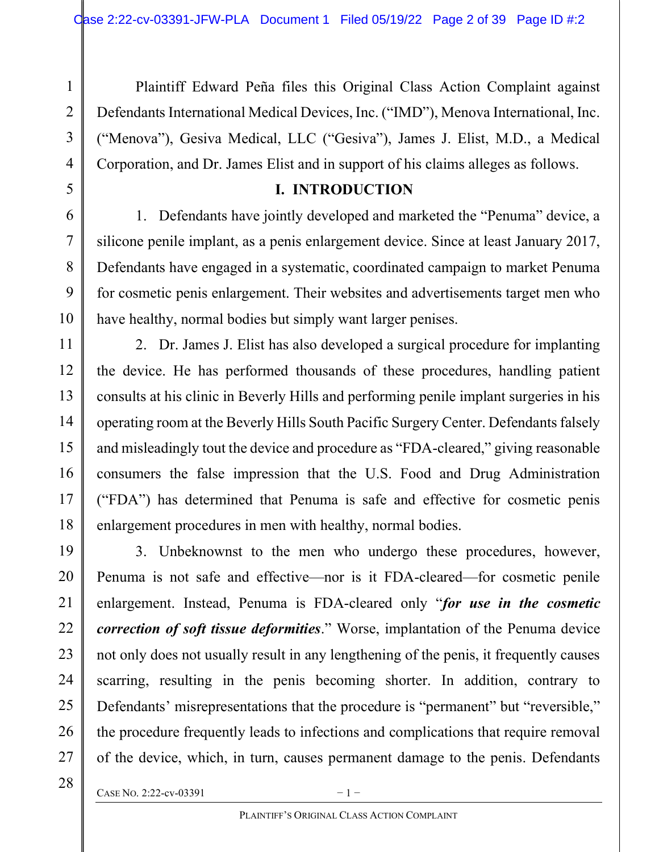Plaintiff Edward Peña files this Original Class Action Complaint against Defendants International Medical Devices, Inc. ("IMD"), Menova International, Inc. ("Menova"), Gesiva Medical, LLC ("Gesiva"), James J. Elist, M.D., a Medical Corporation, and Dr. James Elist and in support of his claims alleges as follows.

### I. INTRODUCTION

1. Defendants have jointly developed and marketed the "Penuma" device, a silicone penile implant, as a penis enlargement device. Since at least January 2017, Defendants have engaged in a systematic, coordinated campaign to market Penuma for cosmetic penis enlargement. Their websites and advertisements target men who have healthy, normal bodies but simply want larger penises.

2. Dr. James J. Elist has also developed a surgical procedure for implanting the device. He has performed thousands of these procedures, handling patient consults at his clinic in Beverly Hills and performing penile implant surgeries in his operating room at the Beverly Hills South Pacific Surgery Center. Defendants falsely and misleadingly tout the device and procedure as "FDA-cleared," giving reasonable consumers the false impression that the U.S. Food and Drug Administration ("FDA") has determined that Penuma is safe and effective for cosmetic penis enlargement procedures in men with healthy, normal bodies.

3. Unbeknownst to the men who undergo these procedures, however, Penuma is not safe and effective—nor is it FDA-cleared—for cosmetic penile enlargement. Instead, Penuma is FDA-cleared only "for use in the cosmetic correction of soft tissue deformities." Worse, implantation of the Penuma device not only does not usually result in any lengthening of the penis, it frequently causes scarring, resulting in the penis becoming shorter. In addition, contrary to Defendants' misrepresentations that the procedure is "permanent" but "reversible," the procedure frequently leads to infections and complications that require removal of the device, which, in turn, causes permanent damage to the penis. Defendants

CASE NO. 2:22-cv-03391  $-1$  –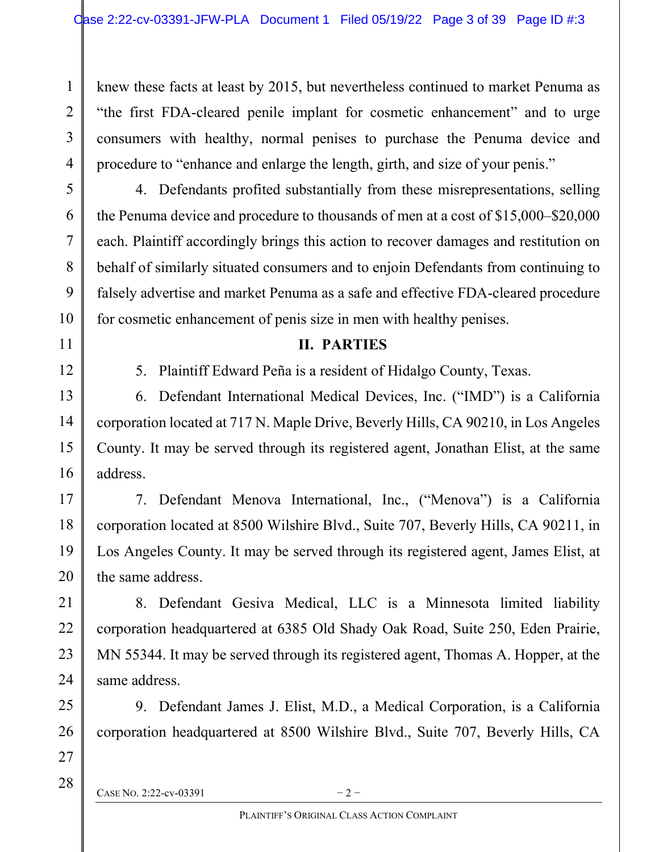knew these facts at least by 2015, but nevertheless continued to market Penuma as "the first FDA-cleared penile implant for cosmetic enhancement" and to urge consumers with healthy, normal penises to purchase the Penuma device and procedure to "enhance and enlarge the length, girth, and size of your penis."

4. Defendants profited substantially from these misrepresentations, selling the Penuma device and procedure to thousands of men at a cost of \$15,000–\$20,000 each. Plaintiff accordingly brings this action to recover damages and restitution on behalf of similarly situated consumers and to enjoin Defendants from continuing to falsely advertise and market Penuma as a safe and effective FDA-cleared procedure for cosmetic enhancement of penis size in men with healthy penises.

### II. PARTIES

5. Plaintiff Edward Peña is a resident of Hidalgo County, Texas.

6. Defendant International Medical Devices, Inc. ("IMD") is a California corporation located at 717 N. Maple Drive, Beverly Hills, CA 90210, in Los Angeles County. It may be served through its registered agent, Jonathan Elist, at the same address.

7. Defendant Menova International, Inc., ("Menova") is a California corporation located at 8500 Wilshire Blvd., Suite 707, Beverly Hills, CA 90211, in Los Angeles County. It may be served through its registered agent, James Elist, at the same address.

8. Defendant Gesiva Medical, LLC is a Minnesota limited liability corporation headquartered at 6385 Old Shady Oak Road, Suite 250, Eden Prairie, MN 55344. It may be served through its registered agent, Thomas A. Hopper, at the same address.

9. Defendant James J. Elist, M.D., a Medical Corporation, is a California corporation headquartered at 8500 Wilshire Blvd., Suite 707, Beverly Hills, CA

CASE NO. 2:22-cv-03391  $-2$  –

1

2

3

4

5

6

7

8

9

10

11

12

13

14

15

16

17

18

19

20

21

22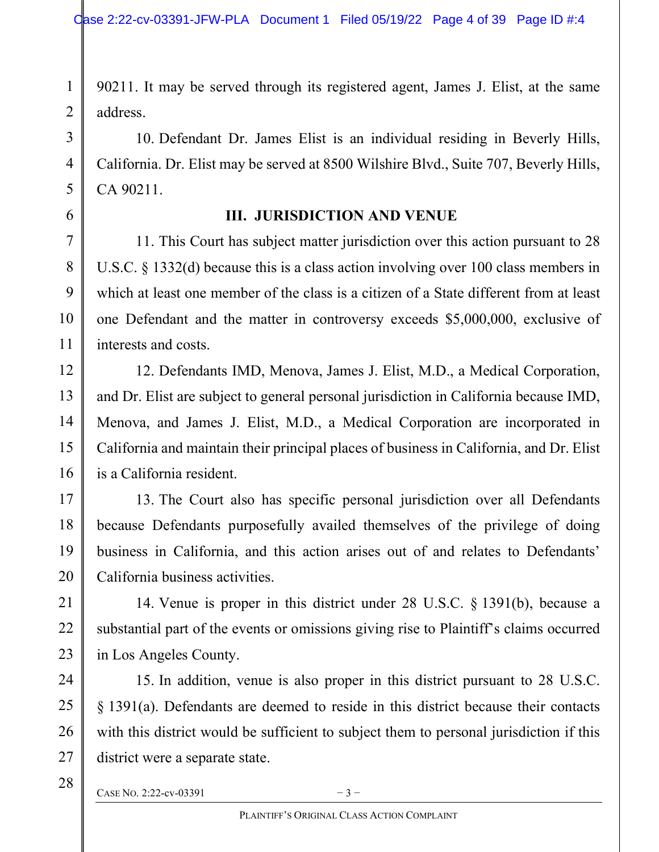90211. It may be served through its registered agent, James J. Elist, at the same address.

10. Defendant Dr. James Elist is an individual residing in Beverly Hills, California. Dr. Elist may be served at 8500 Wilshire Blvd., Suite 707, Beverly Hills, CA 90211.

## III. JURISDICTION AND VENUE

11. This Court has subject matter jurisdiction over this action pursuant to 28 U.S.C. § 1332(d) because this is a class action involving over 100 class members in which at least one member of the class is a citizen of a State different from at least one Defendant and the matter in controversy exceeds \$5,000,000, exclusive of interests and costs.

12. Defendants IMD, Menova, James J. Elist, M.D., a Medical Corporation, and Dr. Elist are subject to general personal jurisdiction in California because IMD, Menova, and James J. Elist, M.D., a Medical Corporation are incorporated in California and maintain their principal places of business in California, and Dr. Elist is a California resident.

13. The Court also has specific personal jurisdiction over all Defendants because Defendants purposefully availed themselves of the privilege of doing business in California, and this action arises out of and relates to Defendants' California business activities.

14. Venue is proper in this district under 28 U.S.C. § 1391(b), because a substantial part of the events or omissions giving rise to Plaintiff's claims occurred in Los Angeles County.

15. In addition, venue is also proper in this district pursuant to 28 U.S.C. § 1391(a). Defendants are deemed to reside in this district because their contacts with this district would be sufficient to subject them to personal jurisdiction if this district were a separate state.

CASE NO. 2:22-cv-03391  $-3$  –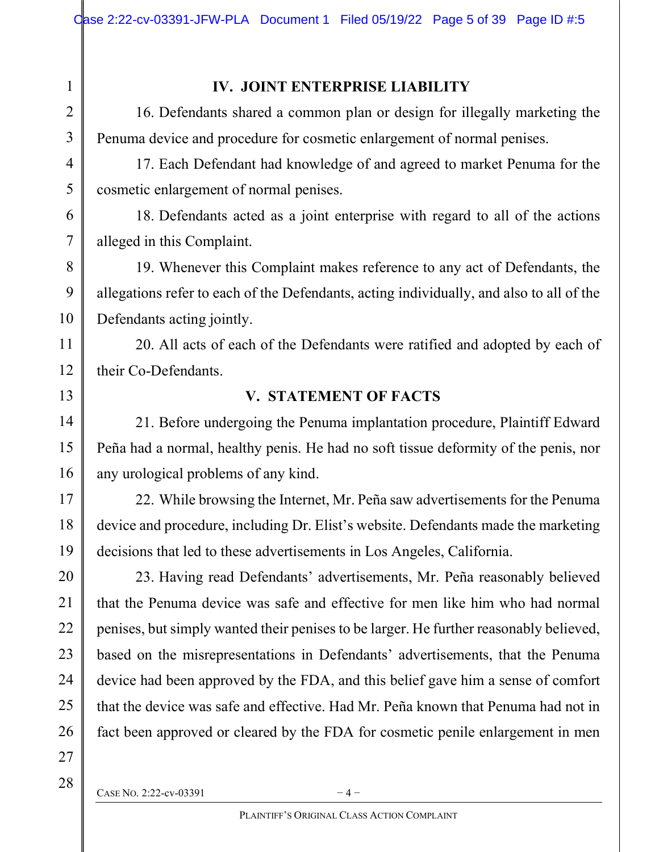## IV. JOINT ENTERPRISE LIABILITY

16. Defendants shared a common plan or design for illegally marketing the Penuma device and procedure for cosmetic enlargement of normal penises.

17. Each Defendant had knowledge of and agreed to market Penuma for the cosmetic enlargement of normal penises.

18. Defendants acted as a joint enterprise with regard to all of the actions alleged in this Complaint.

19. Whenever this Complaint makes reference to any act of Defendants, the allegations refer to each of the Defendants, acting individually, and also to all of the Defendants acting jointly.

20. All acts of each of the Defendants were ratified and adopted by each of their Co-Defendants.

### V. STATEMENT OF FACTS

21. Before undergoing the Penuma implantation procedure, Plaintiff Edward Peña had a normal, healthy penis. He had no soft tissue deformity of the penis, nor any urological problems of any kind.

22. While browsing the Internet, Mr. Peña saw advertisements for the Penuma device and procedure, including Dr. Elist's website. Defendants made the marketing decisions that led to these advertisements in Los Angeles, California.

23. Having read Defendants' advertisements, Mr. Peña reasonably believed that the Penuma device was safe and effective for men like him who had normal penises, but simply wanted their penises to be larger. He further reasonably believed, based on the misrepresentations in Defendants' advertisements, that the Penuma device had been approved by the FDA, and this belief gave him a sense of comfort that the device was safe and effective. Had Mr. Peña known that Penuma had not in fact been approved or cleared by the FDA for cosmetic penile enlargement in men

28

1

2

3

4

5

6

7

8

9

10

11

12

13

14

15

16

17

18

19

20

21

CASE NO. 2:22-cv-03391  $-4$  –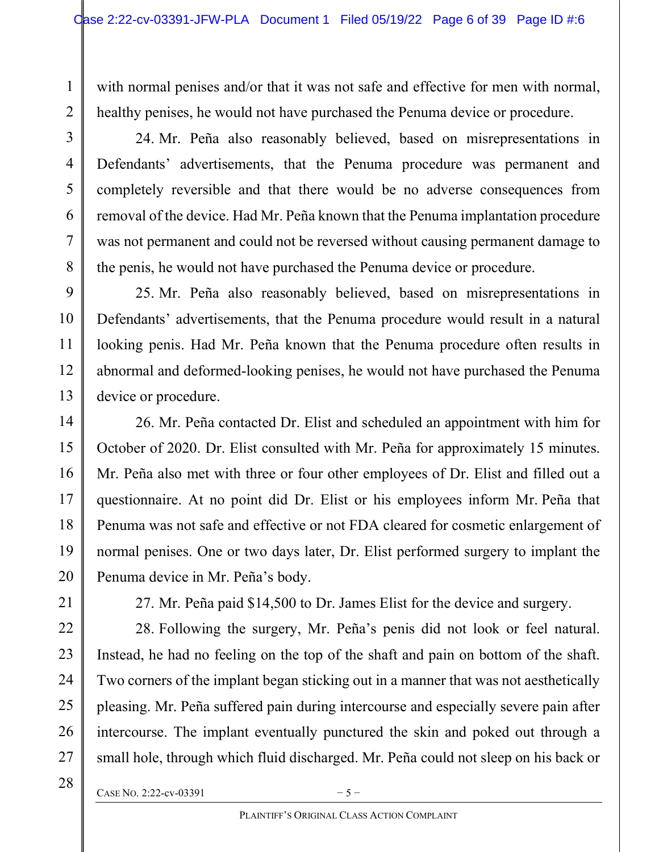with normal penises and/or that it was not safe and effective for men with normal, healthy penises, he would not have purchased the Penuma device or procedure.

24. Mr. Peña also reasonably believed, based on misrepresentations in Defendants' advertisements, that the Penuma procedure was permanent and completely reversible and that there would be no adverse consequences from removal of the device. Had Mr. Peña known that the Penuma implantation procedure was not permanent and could not be reversed without causing permanent damage to the penis, he would not have purchased the Penuma device or procedure.

25. Mr. Peña also reasonably believed, based on misrepresentations in Defendants' advertisements, that the Penuma procedure would result in a natural looking penis. Had Mr. Peña known that the Penuma procedure often results in abnormal and deformed-looking penises, he would not have purchased the Penuma device or procedure.

26. Mr. Peña contacted Dr. Elist and scheduled an appointment with him for October of 2020. Dr. Elist consulted with Mr. Peña for approximately 15 minutes. Mr. Peña also met with three or four other employees of Dr. Elist and filled out a questionnaire. At no point did Dr. Elist or his employees inform Mr. Peña that Penuma was not safe and effective or not FDA cleared for cosmetic enlargement of normal penises. One or two days later, Dr. Elist performed surgery to implant the Penuma device in Mr. Peña's body.

21

1

2

3

4

5

6

7

8

9

10

11

12

13

14

15

16

17

18

19

20

22

23

24

25

26

27

27. Mr. Peña paid \$14,500 to Dr. James Elist for the device and surgery.

28. Following the surgery, Mr. Peña's penis did not look or feel natural. Instead, he had no feeling on the top of the shaft and pain on bottom of the shaft. Two corners of the implant began sticking out in a manner that was not aesthetically pleasing. Mr. Peña suffered pain during intercourse and especially severe pain after intercourse. The implant eventually punctured the skin and poked out through a small hole, through which fluid discharged. Mr. Peña could not sleep on his back or

28

CASE NO. 2:22-cv-03391  $-5-$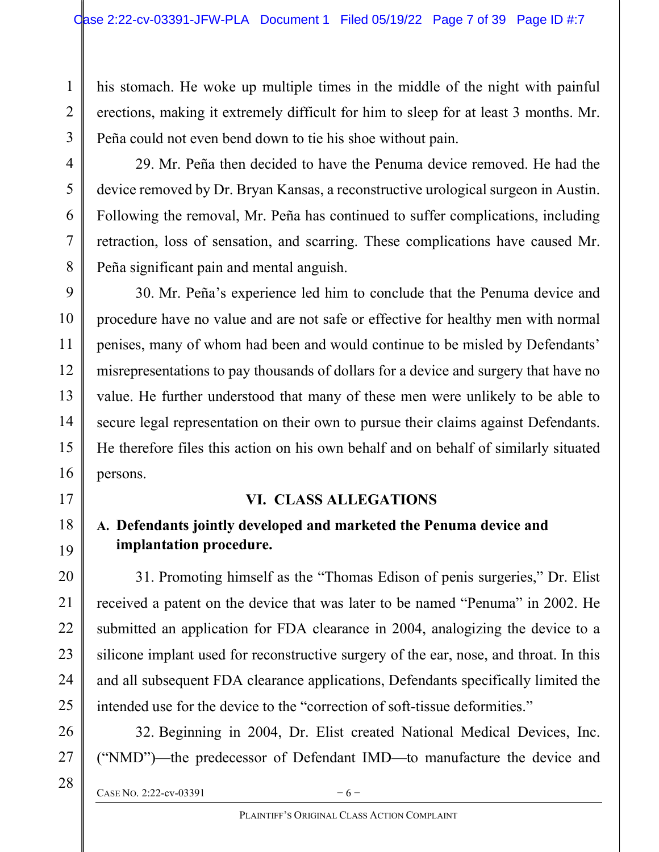his stomach. He woke up multiple times in the middle of the night with painful erections, making it extremely difficult for him to sleep for at least 3 months. Mr. Peña could not even bend down to tie his shoe without pain.

29. Mr. Peña then decided to have the Penuma device removed. He had the device removed by Dr. Bryan Kansas, a reconstructive urological surgeon in Austin. Following the removal, Mr. Peña has continued to suffer complications, including retraction, loss of sensation, and scarring. These complications have caused Mr. Peña significant pain and mental anguish.

30. Mr. Peña's experience led him to conclude that the Penuma device and procedure have no value and are not safe or effective for healthy men with normal penises, many of whom had been and would continue to be misled by Defendants' misrepresentations to pay thousands of dollars for a device and surgery that have no value. He further understood that many of these men were unlikely to be able to secure legal representation on their own to pursue their claims against Defendants. He therefore files this action on his own behalf and on behalf of similarly situated persons.

## VI. CLASS ALLEGATIONS

# A. Defendants jointly developed and marketed the Penuma device and implantation procedure.

31. Promoting himself as the "Thomas Edison of penis surgeries," Dr. Elist received a patent on the device that was later to be named "Penuma" in 2002. He submitted an application for FDA clearance in 2004, analogizing the device to a silicone implant used for reconstructive surgery of the ear, nose, and throat. In this and all subsequent FDA clearance applications, Defendants specifically limited the intended use for the device to the "correction of soft-tissue deformities."

32. Beginning in 2004, Dr. Elist created National Medical Devices, Inc. ("NMD")—the predecessor of Defendant IMD—to manufacture the device and

CASE NO. 2:22-cv-03391  $-6$  –

28

1

2

3

4

5

6

7

8

9

10

11

12

13

14

15

16

17

18

19

20

21

22

23

24

25

26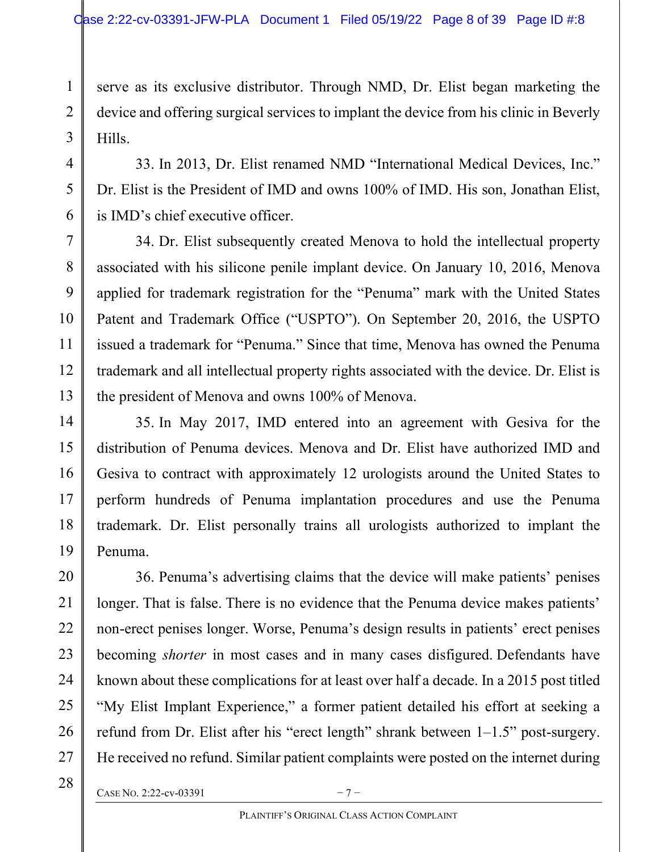serve as its exclusive distributor. Through NMD, Dr. Elist began marketing the device and offering surgical services to implant the device from his clinic in Beverly Hills.

33. In 2013, Dr. Elist renamed NMD "International Medical Devices, Inc." Dr. Elist is the President of IMD and owns 100% of IMD. His son, Jonathan Elist, is IMD's chief executive officer.

34. Dr. Elist subsequently created Menova to hold the intellectual property associated with his silicone penile implant device. On January 10, 2016, Menova applied for trademark registration for the "Penuma" mark with the United States Patent and Trademark Office ("USPTO"). On September 20, 2016, the USPTO issued a trademark for "Penuma." Since that time, Menova has owned the Penuma trademark and all intellectual property rights associated with the device. Dr. Elist is the president of Menova and owns 100% of Menova.

35. In May 2017, IMD entered into an agreement with Gesiva for the distribution of Penuma devices. Menova and Dr. Elist have authorized IMD and Gesiva to contract with approximately 12 urologists around the United States to perform hundreds of Penuma implantation procedures and use the Penuma trademark. Dr. Elist personally trains all urologists authorized to implant the Penuma.

36. Penuma's advertising claims that the device will make patients' penises longer. That is false. There is no evidence that the Penuma device makes patients' non-erect penises longer. Worse, Penuma's design results in patients' erect penises becoming *shorter* in most cases and in many cases disfigured. Defendants have known about these complications for at least over half a decade. In a 2015 post titled "My Elist Implant Experience," a former patient detailed his effort at seeking a refund from Dr. Elist after his "erect length" shrank between 1–1.5" post-surgery. He received no refund. Similar patient complaints were posted on the internet during

1

2

3

CASE NO. 2:22-cv-03391  $-7-$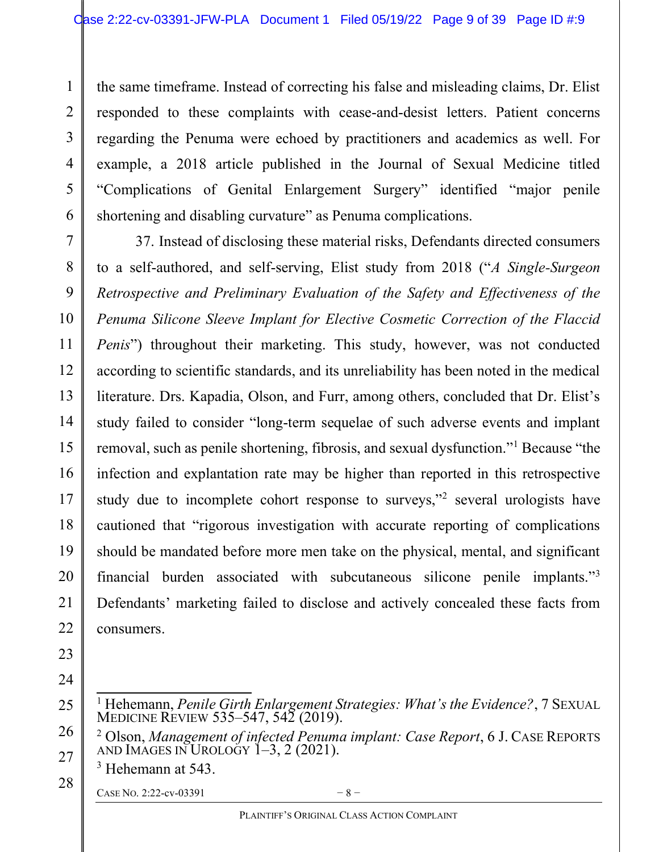the same timeframe. Instead of correcting his false and misleading claims, Dr. Elist responded to these complaints with cease-and-desist letters. Patient concerns regarding the Penuma were echoed by practitioners and academics as well. For example, a 2018 article published in the Journal of Sexual Medicine titled "Complications of Genital Enlargement Surgery" identified "major penile shortening and disabling curvature" as Penuma complications.

37. Instead of disclosing these material risks, Defendants directed consumers to a self-authored, and self-serving, Elist study from 2018 ("A Single-Surgeon Retrospective and Preliminary Evaluation of the Safety and Effectiveness of the Penuma Silicone Sleeve Implant for Elective Cosmetic Correction of the Flaccid Penis") throughout their marketing. This study, however, was not conducted according to scientific standards, and its unreliability has been noted in the medical literature. Drs. Kapadia, Olson, and Furr, among others, concluded that Dr. Elist's study failed to consider "long-term sequelae of such adverse events and implant removal, such as penile shortening, fibrosis, and sexual dysfunction."<sup>1</sup> Because "the infection and explantation rate may be higher than reported in this retrospective study due to incomplete cohort response to surveys,"<sup>2</sup> several urologists have cautioned that "rigorous investigation with accurate reporting of complications should be mandated before more men take on the physical, mental, and significant financial burden associated with subcutaneous silicone penile implants."<sup>3</sup> Defendants' marketing failed to disclose and actively concealed these facts from consumers.

25 26 27

28

1

2

3

4

5

6

7

8

9

10

11

12

13

14

15

16

17

18

19

20

21

22

23

24

<sup>2</sup> Olson, Management of infected Penuma implant: Case Report, 6 J. CASE REPORTS AND IMAGES IN UROLOGY  $1-3$ ,  $2$  (2021).

3 Hehemann at 543.

CASE NO. 2:22-cv-03391  $-8$  –

<sup>&</sup>lt;sup>1</sup> Hehemann, Penile Girth Enlargement Strategies: What's the Evidence?, 7 SEXUAL MEDICINE REVIEW 535–547, 542 (2019).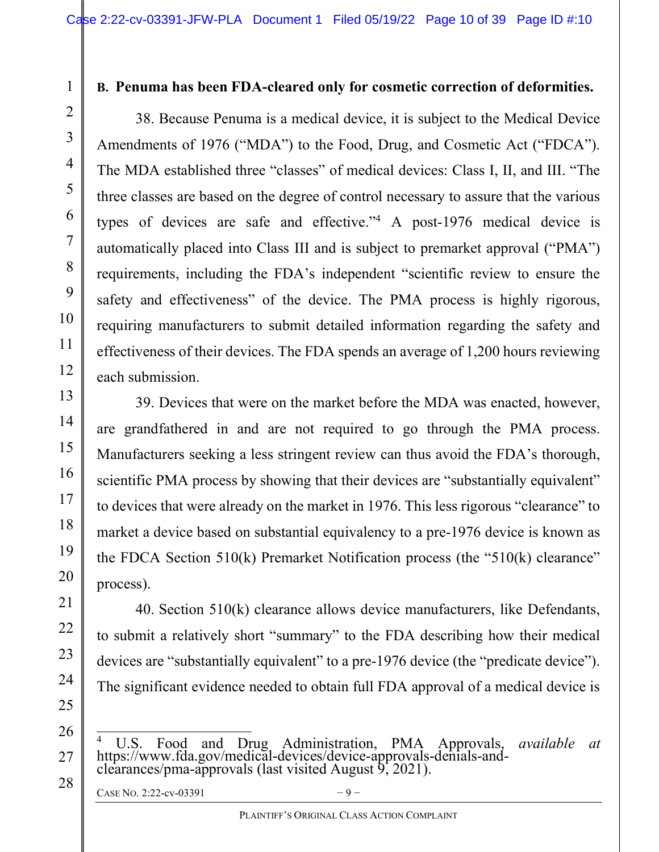### B. Penuma has been FDA-cleared only for cosmetic correction of deformities.

38. Because Penuma is a medical device, it is subject to the Medical Device Amendments of 1976 ("MDA") to the Food, Drug, and Cosmetic Act ("FDCA"). The MDA established three "classes" of medical devices: Class I, II, and III. "The three classes are based on the degree of control necessary to assure that the various types of devices are safe and effective."<sup>4</sup> A post-1976 medical device is automatically placed into Class III and is subject to premarket approval ("PMA") requirements, including the FDA's independent "scientific review to ensure the safety and effectiveness" of the device. The PMA process is highly rigorous, requiring manufacturers to submit detailed information regarding the safety and effectiveness of their devices. The FDA spends an average of 1,200 hours reviewing each submission.

39. Devices that were on the market before the MDA was enacted, however, are grandfathered in and are not required to go through the PMA process. Manufacturers seeking a less stringent review can thus avoid the FDA's thorough, scientific PMA process by showing that their devices are "substantially equivalent" to devices that were already on the market in 1976. This less rigorous "clearance" to market a device based on substantial equivalency to a pre-1976 device is known as the FDCA Section 510(k) Premarket Notification process (the "510(k) clearance" process).

40. Section 510(k) clearance allows device manufacturers, like Defendants, to submit a relatively short "summary" to the FDA describing how their medical devices are "substantially equivalent" to a pre-1976 device (the "predicate device"). The significant evidence needed to obtain full FDA approval of a medical device is

<sup>4</sup> U.S. Food and Drug Administration, PMA Approvals, available at https://www.fda.gov/medical-devices/device-approvals-denials-andclearances/pma-approvals (last visited August  $9'$ , 2021).

```
CASE NO. 2:22-cv-03391 -9 –
```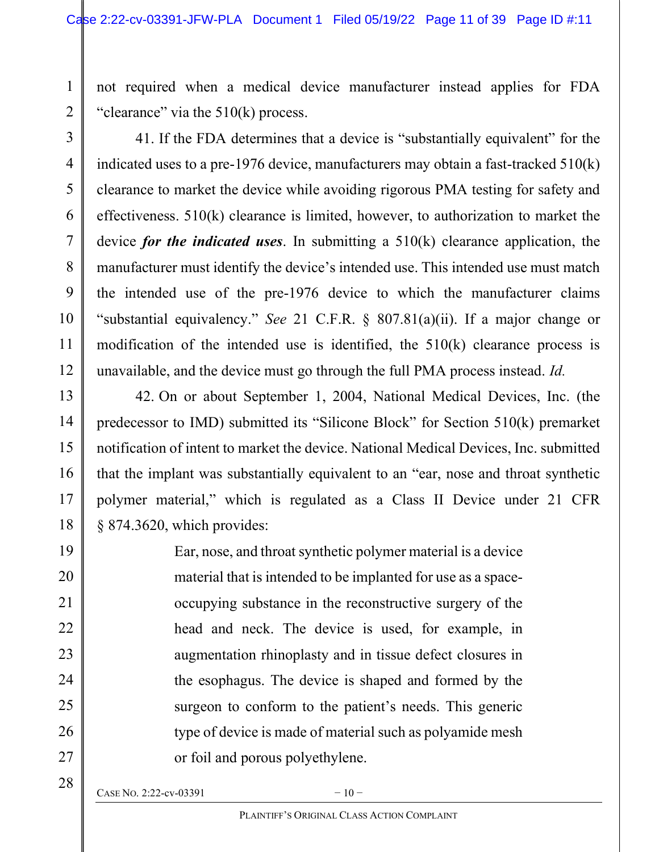not required when a medical device manufacturer instead applies for FDA "clearance" via the 510(k) process.

41. If the FDA determines that a device is "substantially equivalent" for the indicated uses to a pre-1976 device, manufacturers may obtain a fast-tracked 510(k) clearance to market the device while avoiding rigorous PMA testing for safety and effectiveness. 510(k) clearance is limited, however, to authorization to market the device *for the indicated uses*. In submitting a  $510(k)$  clearance application, the manufacturer must identify the device's intended use. This intended use must match the intended use of the pre-1976 device to which the manufacturer claims "substantial equivalency." See 21 C.F.R. § 807.81(a)(ii). If a major change or modification of the intended use is identified, the 510(k) clearance process is unavailable, and the device must go through the full PMA process instead. Id.

42. On or about September 1, 2004, National Medical Devices, Inc. (the predecessor to IMD) submitted its "Silicone Block" for Section 510(k) premarket notification of intent to market the device. National Medical Devices, Inc. submitted that the implant was substantially equivalent to an "ear, nose and throat synthetic polymer material," which is regulated as a Class II Device under 21 CFR § 874.3620, which provides:

> Ear, nose, and throat synthetic polymer material is a device material that is intended to be implanted for use as a spaceoccupying substance in the reconstructive surgery of the head and neck. The device is used, for example, in augmentation rhinoplasty and in tissue defect closures in the esophagus. The device is shaped and formed by the surgeon to conform to the patient's needs. This generic type of device is made of material such as polyamide mesh or foil and porous polyethylene.

28

1

2

3

4

CASE NO. 2:22-cv-03391  $-10$  –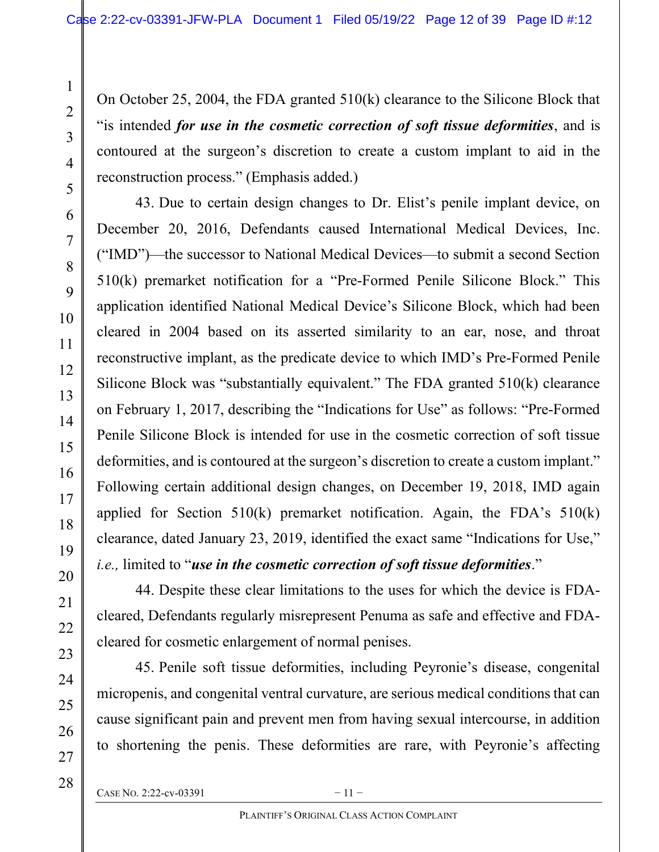On October 25, 2004, the FDA granted 510(k) clearance to the Silicone Block that "is intended for use in the cosmetic correction of soft tissue deformities, and is contoured at the surgeon's discretion to create a custom implant to aid in the reconstruction process." (Emphasis added.)

43. Due to certain design changes to Dr. Elist's penile implant device, on December 20, 2016, Defendants caused International Medical Devices, Inc. ("IMD")—the successor to National Medical Devices—to submit a second Section 510(k) premarket notification for a "Pre-Formed Penile Silicone Block." This application identified National Medical Device's Silicone Block, which had been cleared in 2004 based on its asserted similarity to an ear, nose, and throat reconstructive implant, as the predicate device to which IMD's Pre-Formed Penile Silicone Block was "substantially equivalent." The FDA granted 510(k) clearance on February 1, 2017, describing the "Indications for Use" as follows: "Pre-Formed Penile Silicone Block is intended for use in the cosmetic correction of soft tissue deformities, and is contoured at the surgeon's discretion to create a custom implant." Following certain additional design changes, on December 19, 2018, IMD again applied for Section  $510(k)$  premarket notification. Again, the FDA's  $510(k)$ clearance, dated January 23, 2019, identified the exact same "Indications for Use," *i.e.*, limited to "use in the cosmetic correction of soft tissue deformities."

44. Despite these clear limitations to the uses for which the device is FDAcleared, Defendants regularly misrepresent Penuma as safe and effective and FDAcleared for cosmetic enlargement of normal penises.

45. Penile soft tissue deformities, including Peyronie's disease, congenital micropenis, and congenital ventral curvature, are serious medical conditions that can cause significant pain and prevent men from having sexual intercourse, in addition to shortening the penis. These deformities are rare, with Peyronie's affecting

1

2

3

4

5

6

7

8

9

10

11

12

13

14

15

16

17

18

19

20

21

22

23

24

25

26

27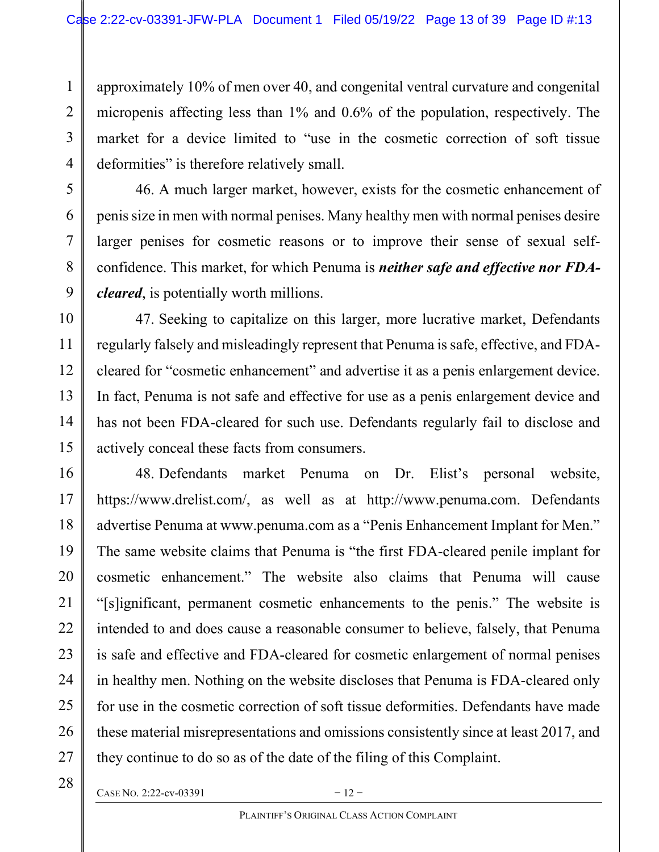approximately 10% of men over 40, and congenital ventral curvature and congenital micropenis affecting less than 1% and 0.6% of the population, respectively. The market for a device limited to "use in the cosmetic correction of soft tissue deformities" is therefore relatively small.

46. A much larger market, however, exists for the cosmetic enhancement of penis size in men with normal penises. Many healthy men with normal penises desire larger penises for cosmetic reasons or to improve their sense of sexual selfconfidence. This market, for which Penuma is *neither safe and effective nor FDA*cleared, is potentially worth millions.

47. Seeking to capitalize on this larger, more lucrative market, Defendants regularly falsely and misleadingly represent that Penuma is safe, effective, and FDAcleared for "cosmetic enhancement" and advertise it as a penis enlargement device. In fact, Penuma is not safe and effective for use as a penis enlargement device and has not been FDA-cleared for such use. Defendants regularly fail to disclose and actively conceal these facts from consumers.

48. Defendants market Penuma on Dr. Elist's personal website, https://www.drelist.com/, as well as at http://www.penuma.com. Defendants advertise Penuma at www.penuma.com as a "Penis Enhancement Implant for Men." The same website claims that Penuma is "the first FDA-cleared penile implant for cosmetic enhancement." The website also claims that Penuma will cause "[s]ignificant, permanent cosmetic enhancements to the penis." The website is intended to and does cause a reasonable consumer to believe, falsely, that Penuma is safe and effective and FDA-cleared for cosmetic enlargement of normal penises in healthy men. Nothing on the website discloses that Penuma is FDA-cleared only for use in the cosmetic correction of soft tissue deformities. Defendants have made these material misrepresentations and omissions consistently since at least 2017, and they continue to do so as of the date of the filing of this Complaint.

27

1

2

3

4

5

6

7

8

9

10

11

12

13

14

15

16

17

18

19

20

21

22

23

24

25

26

CASE NO. 2:22-cv-03391  $-12$  –

<sup>28</sup>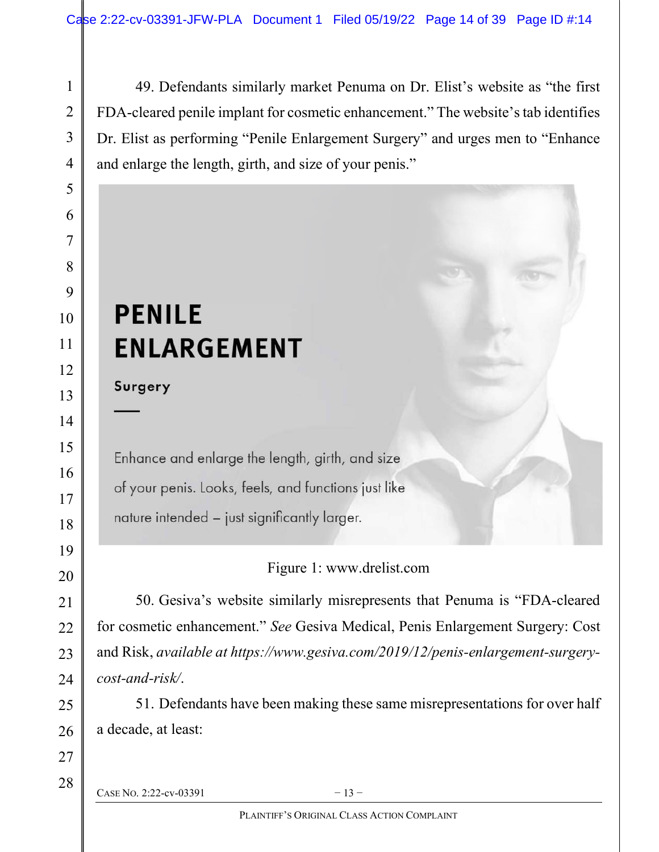49. Defendants similarly market Penuma on Dr. Elist's website as "the first FDA-cleared penile implant for cosmetic enhancement." The website's tab identifies Dr. Elist as performing "Penile Enlargement Surgery" and urges men to "Enhance and enlarge the length, girth, and size of your penis."

# **PENILE ENLARGEMENT**

Surgery

Enhance and enlarge the length, girth, and size of your penis. Looks, feels, and functions just like nature intended - just significantly larger.

Figure 1: www.drelist.com

50. Gesiva's website similarly misrepresents that Penuma is "FDA-cleared for cosmetic enhancement." See Gesiva Medical, Penis Enlargement Surgery: Cost and Risk, available at https://www.gesiva.com/2019/12/penis-enlargement-surgerycost-and-risk/.

51. Defendants have been making these same misrepresentations for over half a decade, at least:

CASE NO. 2:22-cv-03391  $-13-$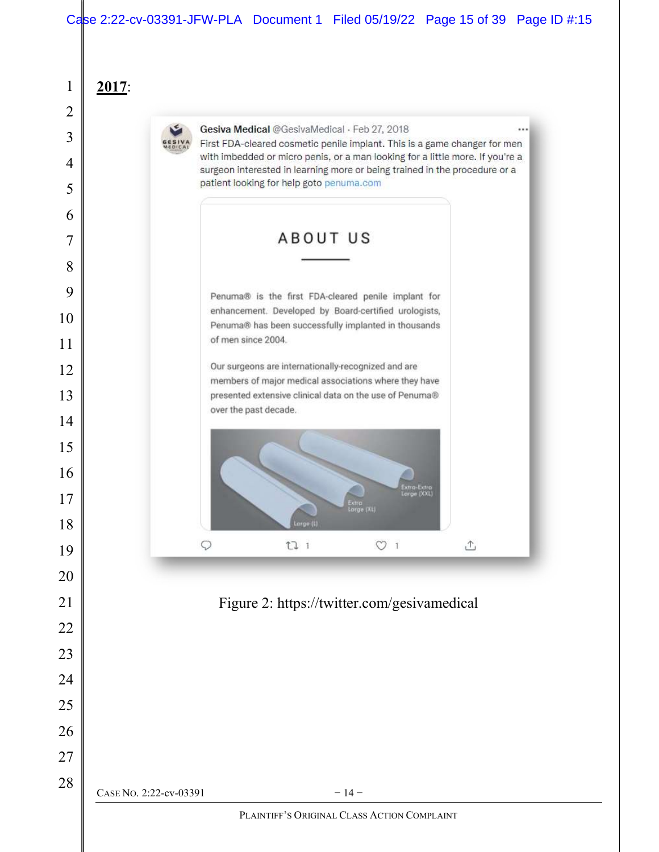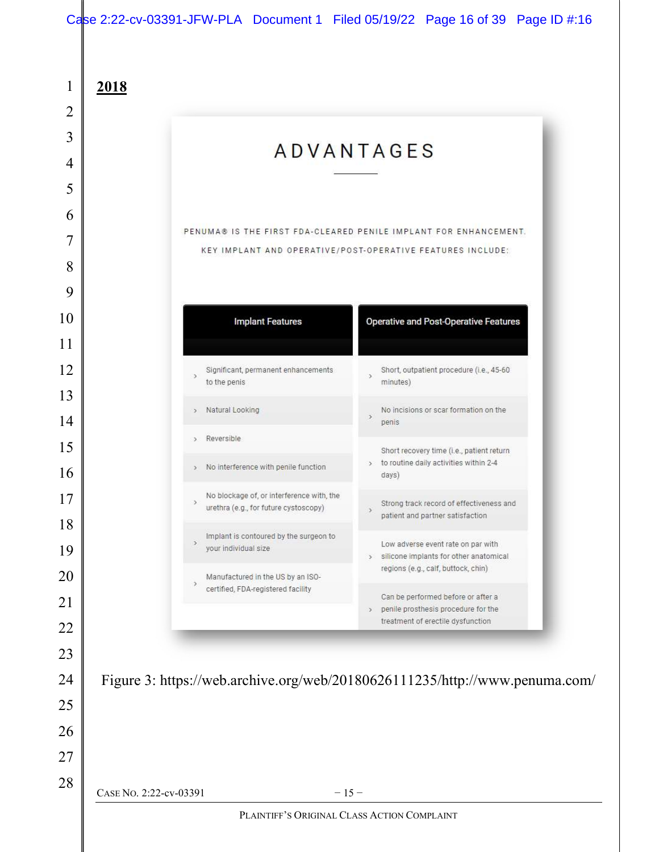# Case 2:22-cv-03391-JFW-PLA Document 1 Filed 05/19/22 Page 16 of 39 Page ID #:16

|                                                                                                     | <b>ADVANTAGES</b>                                                                                                               |
|-----------------------------------------------------------------------------------------------------|---------------------------------------------------------------------------------------------------------------------------------|
|                                                                                                     |                                                                                                                                 |
|                                                                                                     |                                                                                                                                 |
|                                                                                                     | PENUMA® IS THE FIRST FDA-CLEARED PENILE IMPLANT FOR ENHANCEMENT.                                                                |
|                                                                                                     | KEY IMPLANT AND OPERATIVE/POST-OPERATIVE FEATURES INCLUDE:                                                                      |
|                                                                                                     |                                                                                                                                 |
| <b>Implant Features</b>                                                                             | <b>Operative and Post-Operative Features</b>                                                                                    |
|                                                                                                     |                                                                                                                                 |
| Significant, permanent enhancements<br>$\rightarrow$                                                | Short, outpatient procedure (i.e., 45-60<br>$\rightarrow$                                                                       |
| to the penis                                                                                        | minutes)                                                                                                                        |
| Natural Looking<br>$\rightarrow$                                                                    | No incisions or scar formation on the<br>$\,$<br>penis                                                                          |
| Reversible<br>s.                                                                                    | Short recovery time (i.e., patient return                                                                                       |
| > No interference with penile function                                                              | > to routine daily activities within 2-4<br>days)                                                                               |
| No blockage of, or interference with, the<br>$\rightarrow$<br>urethra (e.g., for future cystoscopy) | Strong track record of effectiveness and<br>$\,$<br>patient and partner satisfaction                                            |
| Implant is contoured by the surgeon to<br>$\rightarrow$<br>your individual size                     | Low adverse event rate on par with<br>> silicone implants for other anatomical                                                  |
| Manufactured in the US by an ISO-<br>$\rightarrow$<br>certified, FDA-registered facility            | regions (e.g., calf, buttock, chin)                                                                                             |
|                                                                                                     | Can be performed before or after a<br>penile prosthesis procedure for the<br>$\rightarrow$<br>treatment of erectile dysfunction |
|                                                                                                     |                                                                                                                                 |
|                                                                                                     |                                                                                                                                 |
|                                                                                                     | Figure 3: https://web.archive.org/web/20180626111235/http://www.penuma.com/                                                     |
|                                                                                                     |                                                                                                                                 |
|                                                                                                     |                                                                                                                                 |
|                                                                                                     |                                                                                                                                 |
| CASE No. 2:22-cv-03391                                                                              | $-15-$                                                                                                                          |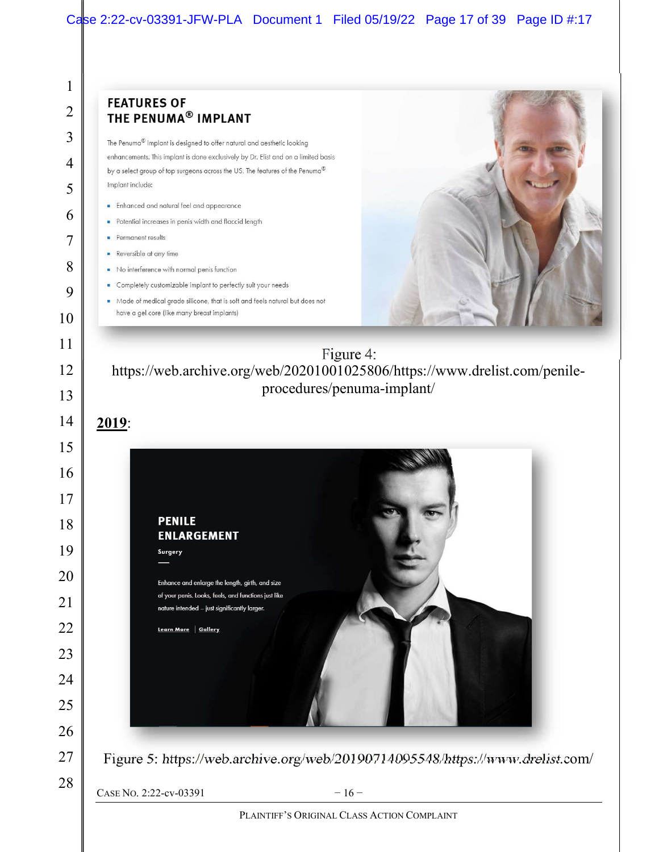### Case 2:22-cv-03391-JFW-PLA Document 1 Filed 05/19/22 Page 17 of 39 Page ID #:17

#### 1 **FEATURES OF** 2 THE PENUMA<sup>®</sup> IMPLANT 3 The Penuma® Implant is designed to offer natural and aesthetic looking enhancements. This implant is done exclusively by Dr. Elist and on a limited basis 4 by a select group of top surgeons across the US. The features of the Penuma® Implant include: 5 • Enhanced and natural feel and appearance 6 Potential increases in penis width and flaccid length **Permanent results** 7 Reversible at any time 8 No interference with normal penis function • Completely customizable implant to perfectly suit your needs 9 • Made of medical grade silicone, that is soft and feels natural but does not have a gel core (like many breast implants) 10 11 Figure 4: https://web.archive.org/web/20201001025806/https://www.drelist.com/penile-12 procedures/penuma-implant/ 13 14 2019: 15 16 17 **PENILE** 18 **ENLARGEMENT** 19 Surgery 20 Enhance and enlarge the length, girth, and size of your penis. Looks, feels, and functions just like 21 nature intended - just significantly larger. 22 Learn More | Gallery 23 24 25 26 27 Figure 5: https://web.archive.org/web/20190714095548/https://www.drelist.com/ 28 CASE NO. 2:22-cv-03391  $-16$  –

PLAINTIFF'S ORIGINAL CLASS ACTION COMPLAINT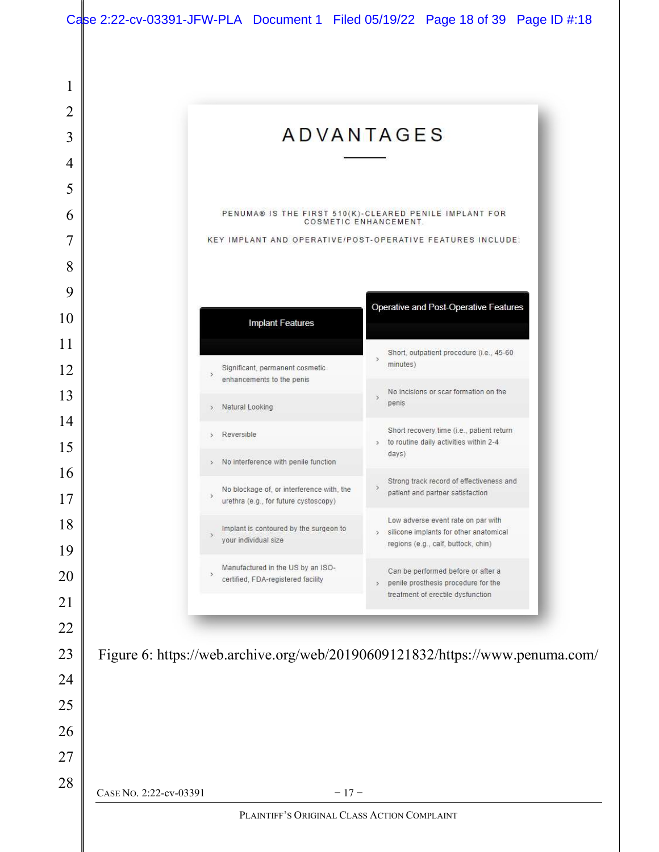|                                                                | <b>ADVANTAGES</b>                                                                                                                    |
|----------------------------------------------------------------|--------------------------------------------------------------------------------------------------------------------------------------|
|                                                                |                                                                                                                                      |
|                                                                |                                                                                                                                      |
|                                                                | PENUMA® IS THE FIRST 510(K)-CLEARED PENILE IMPLANT FOR<br>COSMETIC ENHANCEMENT.                                                      |
|                                                                | KEY IMPLANT AND OPERATIVE/POST-OPERATIVE FEATURES INCLUDE:                                                                           |
|                                                                |                                                                                                                                      |
|                                                                |                                                                                                                                      |
| <b>Implant Features</b>                                        | Operative and Post-Operative Features                                                                                                |
|                                                                | Short, outpatient procedure (i.e., 45-60                                                                                             |
| Significant, permanent cosmetic<br>enhancements to the penis   | $\mathcal{F}$<br>minutes)                                                                                                            |
| Natural Looking<br>$\mathcal{F}$                               | No incisions or scar formation on the<br>$\mathcal{S}$<br>penis                                                                      |
| Reversible<br>$\geq$                                           | Short recovery time (i.e., patient return                                                                                            |
| > No interference with penile function                         | > to routine daily activities within 2-4<br>days)                                                                                    |
| No blockage of, or interference with, the                      | Strong track record of effectiveness and<br>y                                                                                        |
| $\lambda$<br>urethra (e.g., for future cystoscopy)             | patient and partner satisfaction                                                                                                     |
| Implant is contoured by the surgeon to<br>your individual size | Low adverse event rate on par with<br>silicone implants for other anatomical<br>$\mathcal{I}$<br>regions (e.g., calf, buttock, chin) |
| Manufactured in the US by an ISO-                              | Can be performed before or after a                                                                                                   |
| certified, FDA-registered facility                             | penile prosthesis procedure for the<br>$\mathbf{r}$<br>treatment of erectile dysfunction                                             |
|                                                                |                                                                                                                                      |
|                                                                |                                                                                                                                      |
|                                                                | Figure 6: https://web.archive.org/web/20190609121832/https://www.penuma.com/                                                         |
|                                                                |                                                                                                                                      |
|                                                                |                                                                                                                                      |
|                                                                |                                                                                                                                      |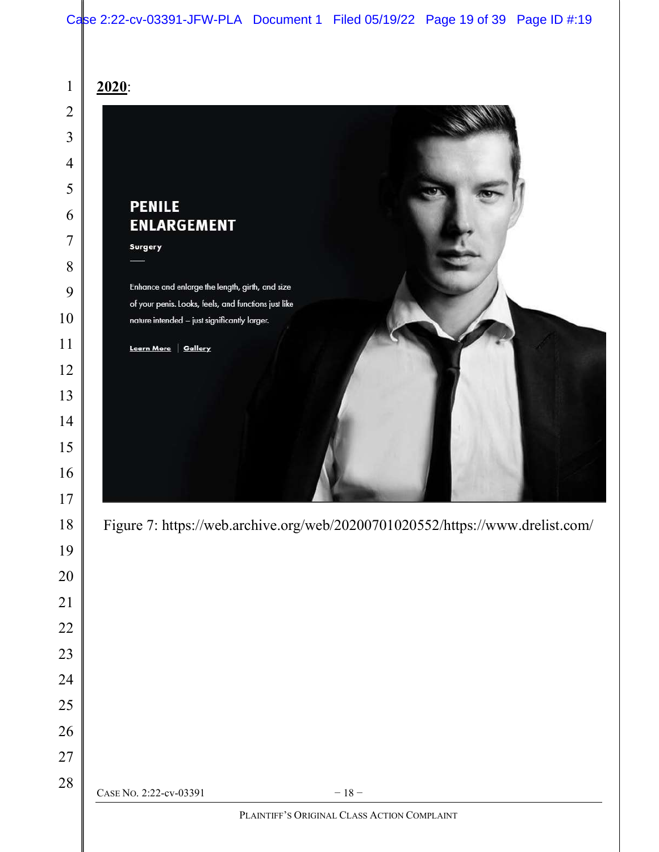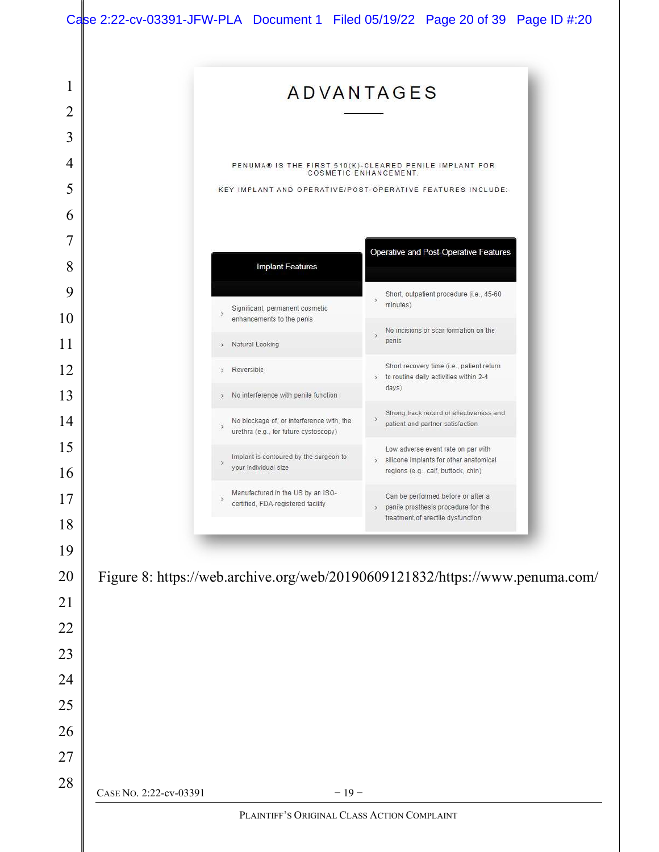|                                                                              | <b>ADVANTAGES</b>                                                                  |                       |                                                                                     |  |
|------------------------------------------------------------------------------|------------------------------------------------------------------------------------|-----------------------|-------------------------------------------------------------------------------------|--|
|                                                                              |                                                                                    |                       |                                                                                     |  |
|                                                                              |                                                                                    |                       |                                                                                     |  |
|                                                                              |                                                                                    |                       |                                                                                     |  |
|                                                                              | PENUMA® IS THE FIRST 510(K)-CLEARED PENILE IMPLANT FOR                             | COSMETIC ENHANCEMENT. |                                                                                     |  |
|                                                                              | KEY IMPLANT AND OPERATIVE/POST-OPERATIVE FEATURES INCLUDE:                         |                       |                                                                                     |  |
|                                                                              |                                                                                    |                       |                                                                                     |  |
|                                                                              |                                                                                    |                       | Operative and Post-Operative Features                                               |  |
|                                                                              | <b>Implant Features</b>                                                            |                       |                                                                                     |  |
|                                                                              | Significant, permanent cosmetic                                                    | minutes)              | Short, outpatient procedure (i.e., 45-60                                            |  |
|                                                                              | enhancements to the penis                                                          |                       | No incisions or scar formation on the                                               |  |
| Natural Looking<br>$\mathcal{F}$                                             |                                                                                    | penis                 |                                                                                     |  |
| Reversible<br>$\mathcal{P}$                                                  |                                                                                    | $\sum_{i=1}^{n}$      | Short recovery time (i.e., patient return<br>to routine daily activities within 2-4 |  |
| $\rightarrow$                                                                | No interference with penile function                                               | days)                 |                                                                                     |  |
| $\,$                                                                         | No blockage of, or interference with, the<br>urethra (e.g., for future cystoscopy) | $\rightarrow$         | Strong track record of effectiveness and<br>patient and partner satisfaction.       |  |
| $\rightarrow$                                                                | Implant is contoured by the surgeon to                                             |                       | Low adverse event rate on par with<br>> silicone implants for other anatomical      |  |
|                                                                              | your individual size                                                               |                       | regions (e.g., calf, buttock, chin)                                                 |  |
| э                                                                            | Manufactured in the US by an ISO-<br>certified, FDA-registered facility            |                       | Can be performed before or after a<br>penile prosthesis procedure for the           |  |
|                                                                              |                                                                                    |                       | treatment of erectile dysfunction                                                   |  |
|                                                                              |                                                                                    |                       |                                                                                     |  |
| Figure 8: https://web.archive.org/web/20190609121832/https://www.penuma.com/ |                                                                                    |                       |                                                                                     |  |
|                                                                              |                                                                                    |                       |                                                                                     |  |
|                                                                              |                                                                                    |                       |                                                                                     |  |
|                                                                              |                                                                                    |                       |                                                                                     |  |
|                                                                              |                                                                                    |                       |                                                                                     |  |
|                                                                              |                                                                                    |                       |                                                                                     |  |
|                                                                              |                                                                                    |                       |                                                                                     |  |
|                                                                              |                                                                                    |                       |                                                                                     |  |
|                                                                              |                                                                                    |                       |                                                                                     |  |
| CASE No. 2:22-cv-03391                                                       | $-19-$<br>PLAINTIFF'S ORIGINAL CLASS ACTION COMPLAINT                              |                       |                                                                                     |  |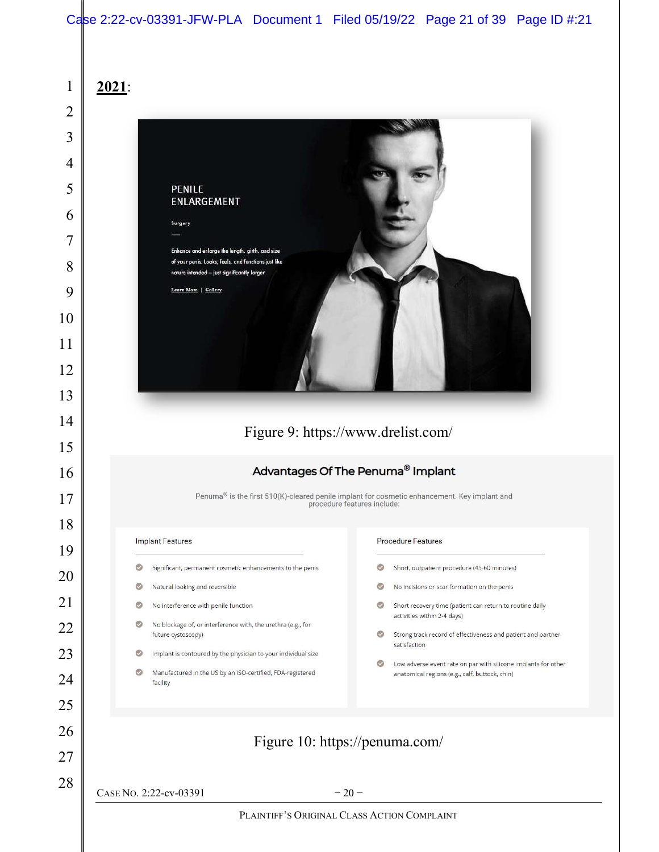| $\mathbf{1}$   | 2021:                                                                                                                                                   |                                                                                                                             |  |  |
|----------------|---------------------------------------------------------------------------------------------------------------------------------------------------------|-----------------------------------------------------------------------------------------------------------------------------|--|--|
| $\overline{2}$ |                                                                                                                                                         |                                                                                                                             |  |  |
| 3              |                                                                                                                                                         |                                                                                                                             |  |  |
| 4              |                                                                                                                                                         |                                                                                                                             |  |  |
| 5              | <b>PENILE</b>                                                                                                                                           |                                                                                                                             |  |  |
| 6              | ENLARGEMENT                                                                                                                                             |                                                                                                                             |  |  |
| 7              | Surgery                                                                                                                                                 |                                                                                                                             |  |  |
| 8              | Enhance and enlarge the length, girth, and size<br>of your penis. Looks, feels, and functions just like<br>nature intended - just significantly larger. |                                                                                                                             |  |  |
| 9              | Learn More   Gallery                                                                                                                                    |                                                                                                                             |  |  |
| 10             |                                                                                                                                                         |                                                                                                                             |  |  |
| 11             |                                                                                                                                                         |                                                                                                                             |  |  |
| 12             |                                                                                                                                                         |                                                                                                                             |  |  |
| 13             |                                                                                                                                                         |                                                                                                                             |  |  |
| 14             | Figure 9: https://www.drelist.com/<br>Advantages Of The Penuma <sup>®</sup> Implant                                                                     |                                                                                                                             |  |  |
| 15             |                                                                                                                                                         |                                                                                                                             |  |  |
| 16             |                                                                                                                                                         |                                                                                                                             |  |  |
| 17             |                                                                                                                                                         | Penuma® is the first 510(K)-cleared penile implant for cosmetic enhancement. Key implant and<br>procedure features include: |  |  |
| 18             |                                                                                                                                                         |                                                                                                                             |  |  |
| 19             | <b>Implant Features</b>                                                                                                                                 | <b>Procedure Features</b>                                                                                                   |  |  |
| 20             | Significant, permanent cosmetic enhancements to the penis<br>G                                                                                          | Short, outpatient procedure (45-60 minutes)<br>o                                                                            |  |  |
| 21             | Natural looking and reversible<br>O<br>No interference with penile function<br>ల                                                                        | $\circ$<br>No incisions or scar formation on the penis<br>o<br>Short recovery time (patient can return to routine daily     |  |  |
| 22             | No blockage of, or interference with, the urethra (e.g., for<br>಄<br>future cystoscopy)                                                                 | activities within 2-4 days)<br>Ø<br>Strong track record of effectiveness and patient and partner                            |  |  |
| 23             | Implant is contoured by the physician to your individual size<br>O                                                                                      | satisfaction                                                                                                                |  |  |
| 24             | Manufactured in the US by an ISO-certified, FDA-registered<br>facility                                                                                  | Low adverse event rate on par with silicone implants for other<br>anatomical regions (e.g., calf, buttock, chin)            |  |  |
| 25             |                                                                                                                                                         |                                                                                                                             |  |  |
| 26             |                                                                                                                                                         | Figure 10: https://penuma.com/                                                                                              |  |  |
| 27             |                                                                                                                                                         |                                                                                                                             |  |  |
| 28             | CASE No. 2:22-cv-03391                                                                                                                                  | $-20-$                                                                                                                      |  |  |
|                |                                                                                                                                                         |                                                                                                                             |  |  |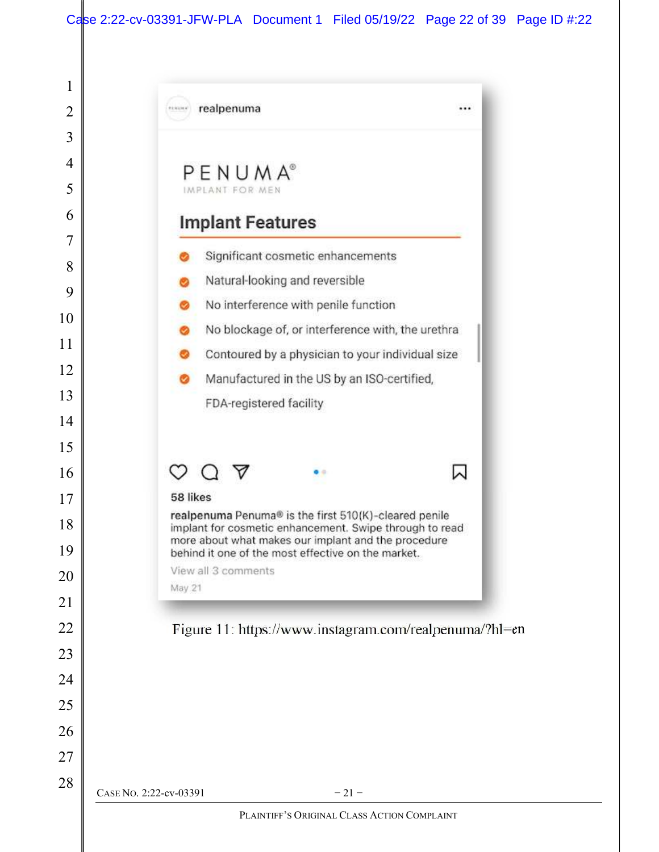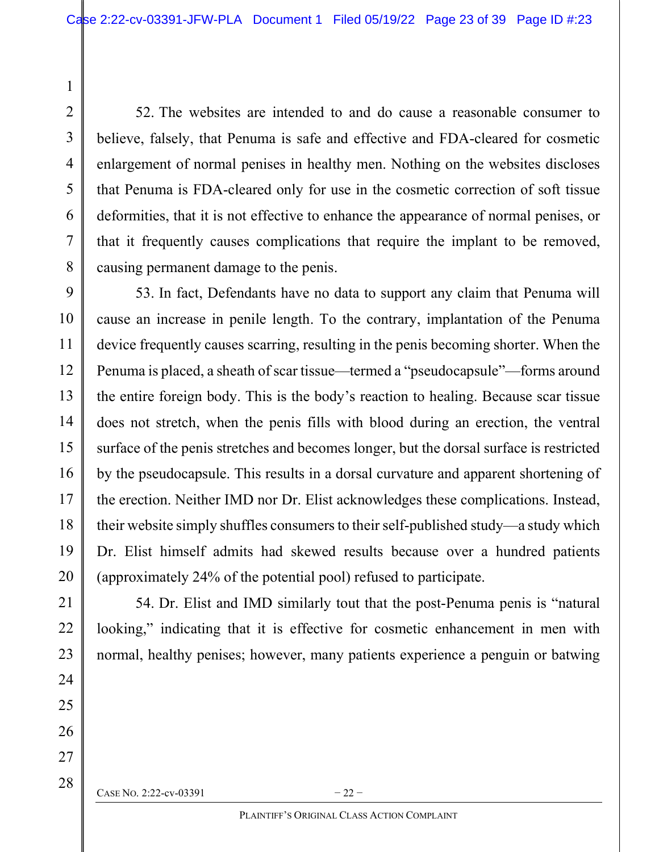52. The websites are intended to and do cause a reasonable consumer to believe, falsely, that Penuma is safe and effective and FDA-cleared for cosmetic enlargement of normal penises in healthy men. Nothing on the websites discloses that Penuma is FDA-cleared only for use in the cosmetic correction of soft tissue deformities, that it is not effective to enhance the appearance of normal penises, or that it frequently causes complications that require the implant to be removed, causing permanent damage to the penis.

53. In fact, Defendants have no data to support any claim that Penuma will cause an increase in penile length. To the contrary, implantation of the Penuma device frequently causes scarring, resulting in the penis becoming shorter. When the Penuma is placed, a sheath of scar tissue—termed a "pseudocapsule"—forms around the entire foreign body. This is the body's reaction to healing. Because scar tissue does not stretch, when the penis fills with blood during an erection, the ventral surface of the penis stretches and becomes longer, but the dorsal surface is restricted by the pseudocapsule. This results in a dorsal curvature and apparent shortening of the erection. Neither IMD nor Dr. Elist acknowledges these complications. Instead, their website simply shuffles consumers to their self-published study—a study which Dr. Elist himself admits had skewed results because over a hundred patients (approximately 24% of the potential pool) refused to participate.

54. Dr. Elist and IMD similarly tout that the post-Penuma penis is "natural looking," indicating that it is effective for cosmetic enhancement in men with normal, healthy penises; however, many patients experience a penguin or batwing

CASE NO. 2:22-cv-03391  $-22$  –

1

2

3

4

5

6

7

8

9

10

11

12

13

14

15

16

17

18

19

20

21

22

23

24

25

26

27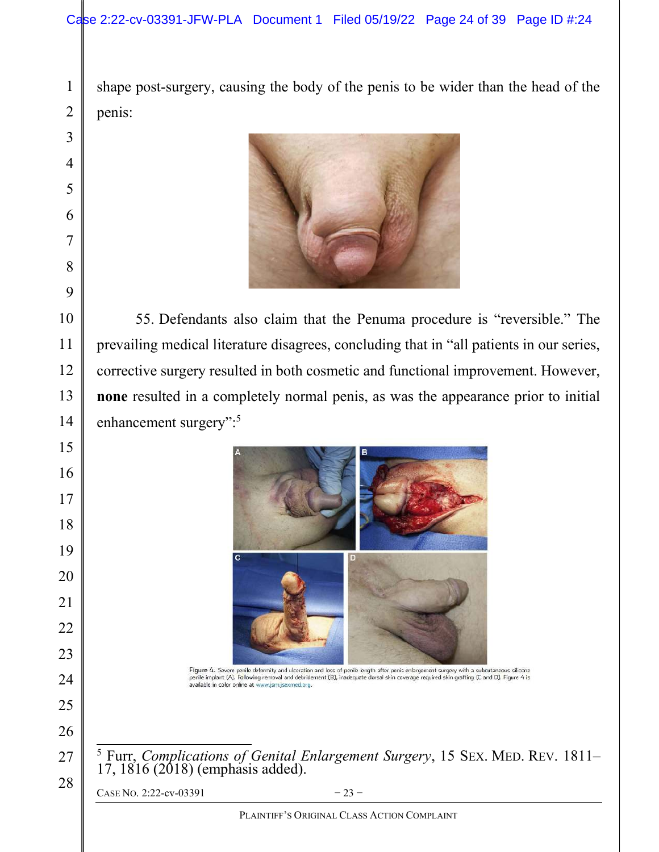shape post-surgery, causing the body of the penis to be wider than the head of the penis:



55. Defendants also claim that the Penuma procedure is "reversible." The prevailing medical literature disagrees, concluding that in "all patients in our series, corrective surgery resulted in both cosmetic and functional improvement. However, none resulted in a completely normal penis, as was the appearance prior to initial enhancement surgery":<sup>5</sup>



Figure 4. Severe penile deformity and ulceration and loss of penile length after penis enlargement surgery with a subcutaneous silicone<br>penile implant (A). Following removal and debridement (B), inadequate dorsal skin cove available in color online at www.jsm.jsexmed.org.

<sup>5</sup> Furr, Complications of Genital Enlargement Surgery, 15 SEX. MED. REV. 1811– 17, 1816 (2018) (emphasis added).

CASE NO. 2:22-cv-03391  $-23-$ 

PLAINTIFF'S ORIGINAL CLASS ACTION COMPLAINT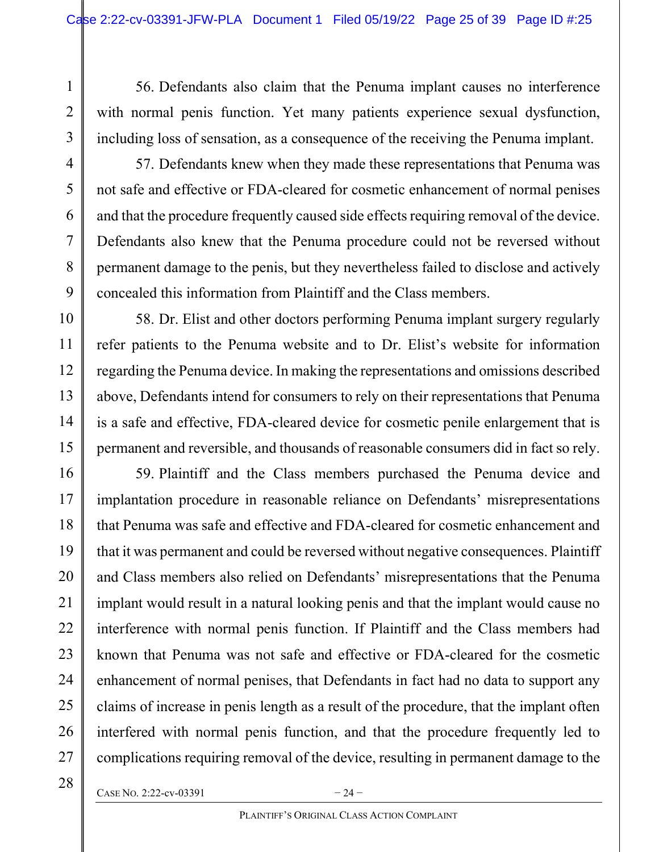56. Defendants also claim that the Penuma implant causes no interference with normal penis function. Yet many patients experience sexual dysfunction, including loss of sensation, as a consequence of the receiving the Penuma implant.

3

4

5

6

7

8

9

10

11

12

13

14

15

16

17

18

19

20

21

22

23

24

25

26

1

2

57. Defendants knew when they made these representations that Penuma was not safe and effective or FDA-cleared for cosmetic enhancement of normal penises and that the procedure frequently caused side effects requiring removal of the device. Defendants also knew that the Penuma procedure could not be reversed without permanent damage to the penis, but they nevertheless failed to disclose and actively concealed this information from Plaintiff and the Class members.

58. Dr. Elist and other doctors performing Penuma implant surgery regularly refer patients to the Penuma website and to Dr. Elist's website for information regarding the Penuma device. In making the representations and omissions described above, Defendants intend for consumers to rely on their representations that Penuma is a safe and effective, FDA-cleared device for cosmetic penile enlargement that is permanent and reversible, and thousands of reasonable consumers did in fact so rely.

59. Plaintiff and the Class members purchased the Penuma device and implantation procedure in reasonable reliance on Defendants' misrepresentations that Penuma was safe and effective and FDA-cleared for cosmetic enhancement and that it was permanent and could be reversed without negative consequences. Plaintiff and Class members also relied on Defendants' misrepresentations that the Penuma implant would result in a natural looking penis and that the implant would cause no interference with normal penis function. If Plaintiff and the Class members had known that Penuma was not safe and effective or FDA-cleared for the cosmetic enhancement of normal penises, that Defendants in fact had no data to support any claims of increase in penis length as a result of the procedure, that the implant often interfered with normal penis function, and that the procedure frequently led to complications requiring removal of the device, resulting in permanent damage to the

CASE NO. 2:22-cv-03391  $-24$  –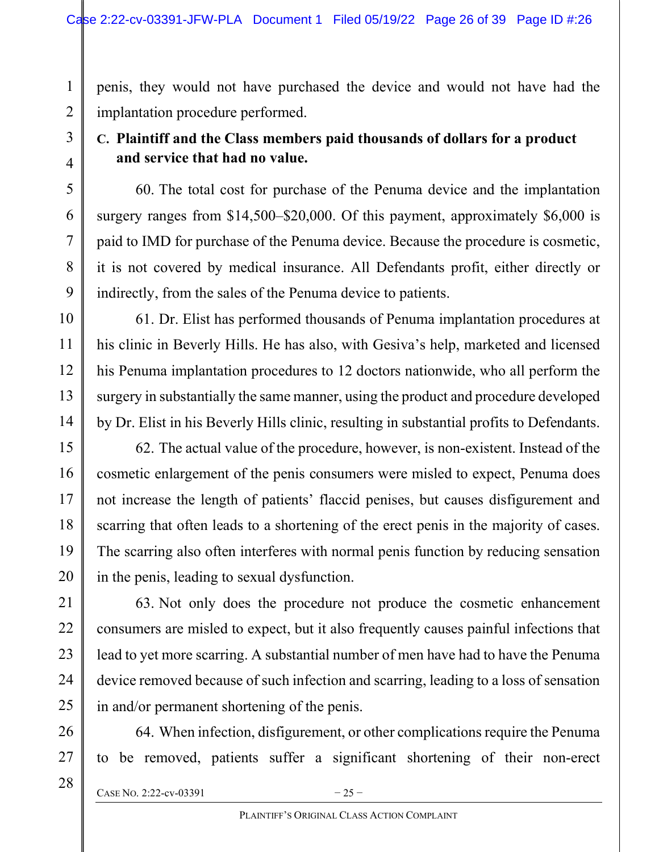penis, they would not have purchased the device and would not have had the implantation procedure performed.

# C. Plaintiff and the Class members paid thousands of dollars for a product and service that had no value.

60. The total cost for purchase of the Penuma device and the implantation surgery ranges from \$14,500–\$20,000. Of this payment, approximately \$6,000 is paid to IMD for purchase of the Penuma device. Because the procedure is cosmetic, it is not covered by medical insurance. All Defendants profit, either directly or indirectly, from the sales of the Penuma device to patients.

61. Dr. Elist has performed thousands of Penuma implantation procedures at his clinic in Beverly Hills. He has also, with Gesiva's help, marketed and licensed his Penuma implantation procedures to 12 doctors nationwide, who all perform the surgery in substantially the same manner, using the product and procedure developed by Dr. Elist in his Beverly Hills clinic, resulting in substantial profits to Defendants.

62. The actual value of the procedure, however, is non-existent. Instead of the cosmetic enlargement of the penis consumers were misled to expect, Penuma does not increase the length of patients' flaccid penises, but causes disfigurement and scarring that often leads to a shortening of the erect penis in the majority of cases. The scarring also often interferes with normal penis function by reducing sensation in the penis, leading to sexual dysfunction.

63. Not only does the procedure not produce the cosmetic enhancement consumers are misled to expect, but it also frequently causes painful infections that lead to yet more scarring. A substantial number of men have had to have the Penuma device removed because of such infection and scarring, leading to a loss of sensation in and/or permanent shortening of the penis.

64. When infection, disfigurement, or other complications require the Penuma to be removed, patients suffer a significant shortening of their non-erect

CASE NO. 2:22-cv-03391  $-25-$ 

1

2

3

4

5

6

7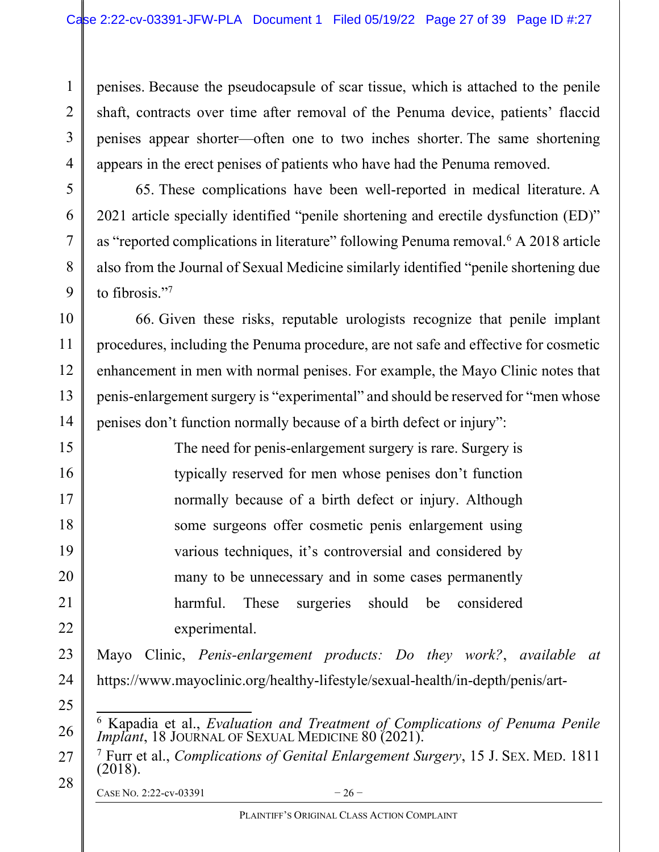penises. Because the pseudocapsule of scar tissue, which is attached to the penile shaft, contracts over time after removal of the Penuma device, patients' flaccid penises appear shorter—often one to two inches shorter. The same shortening appears in the erect penises of patients who have had the Penuma removed.

65. These complications have been well-reported in medical literature. A 2021 article specially identified "penile shortening and erectile dysfunction (ED)" as "reported complications in literature" following Penuma removal.<sup>6</sup> A 2018 article also from the Journal of Sexual Medicine similarly identified "penile shortening due to fibrosis."<sup>7</sup>

66. Given these risks, reputable urologists recognize that penile implant procedures, including the Penuma procedure, are not safe and effective for cosmetic enhancement in men with normal penises. For example, the Mayo Clinic notes that penis-enlargement surgery is "experimental" and should be reserved for "men whose penises don't function normally because of a birth defect or injury":

> The need for penis-enlargement surgery is rare. Surgery is typically reserved for men whose penises don't function normally because of a birth defect or injury. Although some surgeons offer cosmetic penis enlargement using various techniques, it's controversial and considered by many to be unnecessary and in some cases permanently harmful. These surgeries should be considered experimental.

Mayo Clinic, Penis-enlargement products: Do they work?, available at https://www.mayoclinic.org/healthy-lifestyle/sexual-health/in-depth/penis/art-

- 26 <sup>6</sup> Kapadia et al., *Evaluation and Treatment of Complications of Penuma Penile* Implant, 18 JOURNAL OF SEXUAL MEDICINE 80 (2021).
- 27 28 <sup>7</sup> Furr et al., Complications of Genital Enlargement Surgery, 15 J. SEX. MED. 1811 (2018).

CASE NO. 2:22-cv-03391  $-26$ 

1

2

3

4

5

6

7

8

9

10

11

12

13

14

15

16

17

18

19

20

21

22

23

24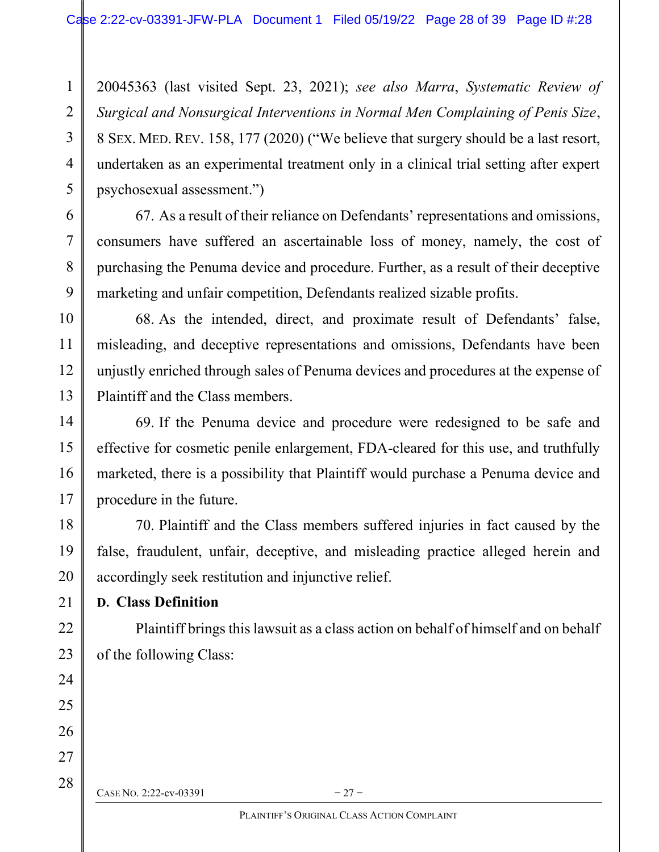20045363 (last visited Sept. 23, 2021); see also Marra, Systematic Review of Surgical and Nonsurgical Interventions in Normal Men Complaining of Penis Size, 8 SEX. MED. REV. 158, 177 (2020) ("We believe that surgery should be a last resort, undertaken as an experimental treatment only in a clinical trial setting after expert psychosexual assessment.")

67. As a result of their reliance on Defendants' representations and omissions, consumers have suffered an ascertainable loss of money, namely, the cost of purchasing the Penuma device and procedure. Further, as a result of their deceptive marketing and unfair competition, Defendants realized sizable profits.

68. As the intended, direct, and proximate result of Defendants' false, misleading, and deceptive representations and omissions, Defendants have been unjustly enriched through sales of Penuma devices and procedures at the expense of Plaintiff and the Class members.

69. If the Penuma device and procedure were redesigned to be safe and effective for cosmetic penile enlargement, FDA-cleared for this use, and truthfully marketed, there is a possibility that Plaintiff would purchase a Penuma device and procedure in the future.

70. Plaintiff and the Class members suffered injuries in fact caused by the false, fraudulent, unfair, deceptive, and misleading practice alleged herein and accordingly seek restitution and injunctive relief.

## D. Class Definition

1

2

3

4

5

6

7

8

9

10

11

12

13

14

15

16

17

18

19

20

21

22

23

24

25

26

27

28

Plaintiff brings this lawsuit as a class action on behalf of himself and on behalf of the following Class:

CASE NO. 2:22-cv-03391  $-27-$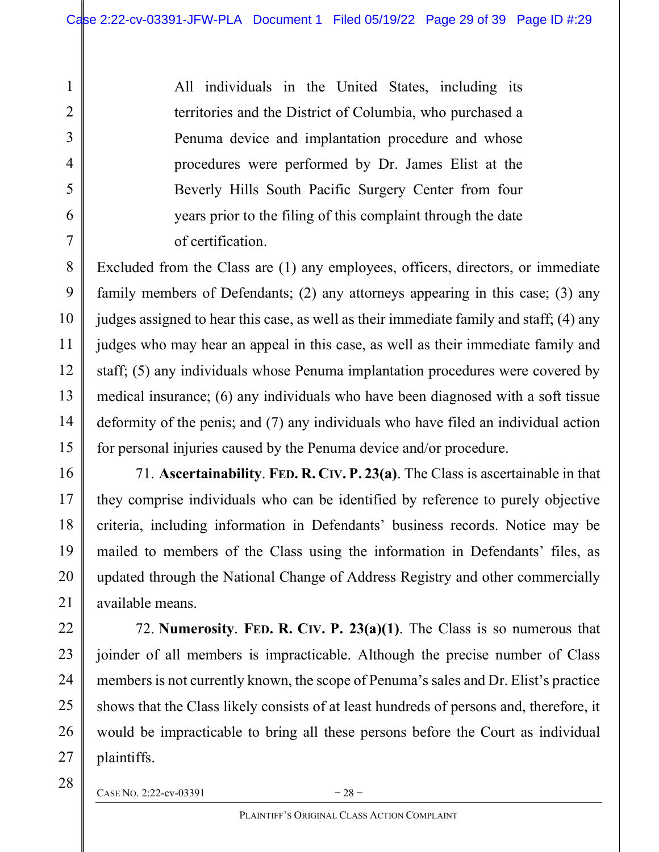All individuals in the United States, including its territories and the District of Columbia, who purchased a Penuma device and implantation procedure and whose procedures were performed by Dr. James Elist at the Beverly Hills South Pacific Surgery Center from four years prior to the filing of this complaint through the date of certification.

Excluded from the Class are (1) any employees, officers, directors, or immediate family members of Defendants; (2) any attorneys appearing in this case; (3) any judges assigned to hear this case, as well as their immediate family and staff; (4) any judges who may hear an appeal in this case, as well as their immediate family and staff; (5) any individuals whose Penuma implantation procedures were covered by medical insurance; (6) any individuals who have been diagnosed with a soft tissue deformity of the penis; and (7) any individuals who have filed an individual action for personal injuries caused by the Penuma device and/or procedure.

71. Ascertainability. FED. R. CIV. P. 23(a). The Class is ascertainable in that they comprise individuals who can be identified by reference to purely objective criteria, including information in Defendants' business records. Notice may be mailed to members of the Class using the information in Defendants' files, as updated through the National Change of Address Registry and other commercially available means.

72. Numerosity. FED. R. CIV. P.  $23(a)(1)$ . The Class is so numerous that joinder of all members is impracticable. Although the precise number of Class members is not currently known, the scope of Penuma's sales and Dr. Elist's practice shows that the Class likely consists of at least hundreds of persons and, therefore, it would be impracticable to bring all these persons before the Court as individual plaintiffs.

28

1

2

3

4

5

6

7

8

9

10

11

12

13

14

15

16

17

18

19

20

21

22

23

24

25

26

27

CASE NO. 2:22-cv-03391  $-28$  –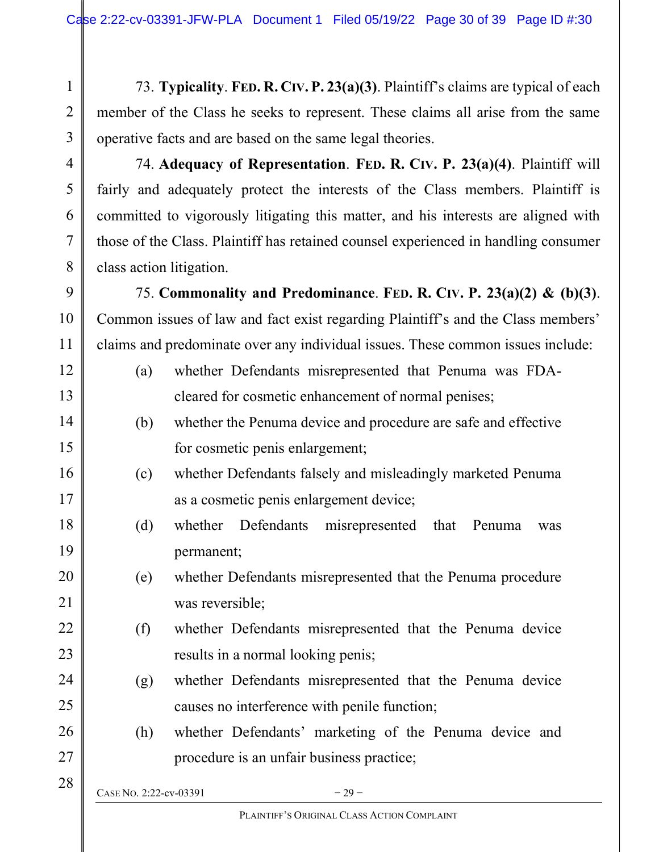73. Typicality. FED. R. CIV. P. 23(a)(3). Plaintiff's claims are typical of each member of the Class he seeks to represent. These claims all arise from the same operative facts and are based on the same legal theories.

74. Adequacy of Representation. FED. R. CIV. P. 23(a)(4). Plaintiff will fairly and adequately protect the interests of the Class members. Plaintiff is committed to vigorously litigating this matter, and his interests are aligned with those of the Class. Plaintiff has retained counsel experienced in handling consumer class action litigation.

75. Commonality and Predominance. FED. R. CIV. P.  $23(a)(2)$  & (b)(3). Common issues of law and fact exist regarding Plaintiff's and the Class members' claims and predominate over any individual issues. These common issues include:

- (a) whether Defendants misrepresented that Penuma was FDAcleared for cosmetic enhancement of normal penises;
- (b) whether the Penuma device and procedure are safe and effective for cosmetic penis enlargement;
- (c) whether Defendants falsely and misleadingly marketed Penuma as a cosmetic penis enlargement device;
- (d) whether Defendants misrepresented that Penuma was permanent;
- (e) whether Defendants misrepresented that the Penuma procedure was reversible;
- (f) whether Defendants misrepresented that the Penuma device results in a normal looking penis;
- (g) whether Defendants misrepresented that the Penuma device causes no interference with penile function;
- (h) whether Defendants' marketing of the Penuma device and procedure is an unfair business practice;

CASE NO. 2:22-cv-03391  $-29-$ 

1

2

3

4

5

6

7

8

9

10

11

12

13

14

15

16

17

18

19

20

21

22

23

24

25

26

27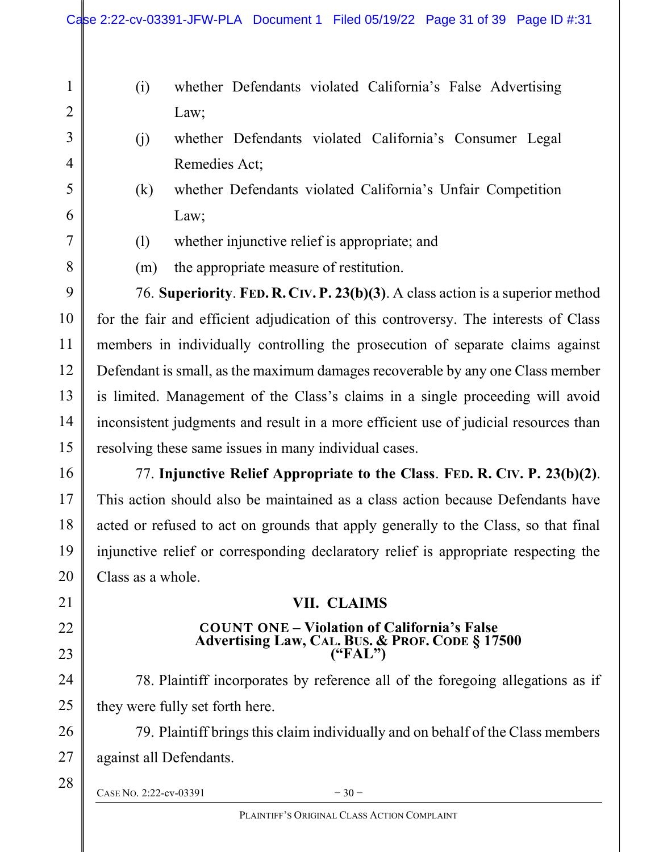- (i) whether Defendants violated California's False Advertising Law;
- (j) whether Defendants violated California's Consumer Legal Remedies Act;
- (k) whether Defendants violated California's Unfair Competition Law;
- (l) whether injunctive relief is appropriate; and
- (m) the appropriate measure of restitution.

76. Superiority. FED. R. CIV. P. 23(b)(3). A class action is a superior method for the fair and efficient adjudication of this controversy. The interests of Class members in individually controlling the prosecution of separate claims against Defendant is small, as the maximum damages recoverable by any one Class member is limited. Management of the Class's claims in a single proceeding will avoid inconsistent judgments and result in a more efficient use of judicial resources than resolving these same issues in many individual cases.

77. Injunctive Relief Appropriate to the Class. FED. R. CIV. P. 23(b)(2). This action should also be maintained as a class action because Defendants have acted or refused to act on grounds that apply generally to the Class, so that final injunctive relief or corresponding declaratory relief is appropriate respecting the Class as a whole.

## VII. CLAIMS

### COUNT ONE – Violation of California's False Advertising Law, CAL. BUS. & PROF. CODE § 17500 ("FAL")

78. Plaintiff incorporates by reference all of the foregoing allegations as if they were fully set forth here.

79. Plaintiff brings this claim individually and on behalf of the Class members against all Defendants.

CASE NO. 2:22-cv-03391  $-30-$ 

1

2

3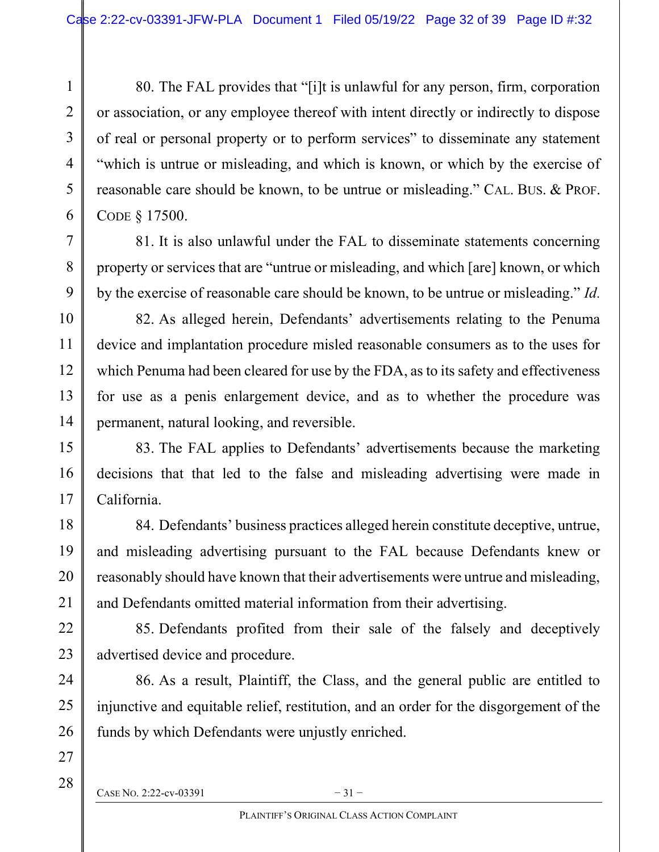80. The FAL provides that "[i]t is unlawful for any person, firm, corporation or association, or any employee thereof with intent directly or indirectly to dispose of real or personal property or to perform services" to disseminate any statement "which is untrue or misleading, and which is known, or which by the exercise of reasonable care should be known, to be untrue or misleading." CAL. BUS. & PROF. CODE § 17500.

81. It is also unlawful under the FAL to disseminate statements concerning property or services that are "untrue or misleading, and which [are] known, or which by the exercise of reasonable care should be known, to be untrue or misleading." Id.

82. As alleged herein, Defendants' advertisements relating to the Penuma device and implantation procedure misled reasonable consumers as to the uses for which Penuma had been cleared for use by the FDA, as to its safety and effectiveness for use as a penis enlargement device, and as to whether the procedure was permanent, natural looking, and reversible.

83. The FAL applies to Defendants' advertisements because the marketing decisions that that led to the false and misleading advertising were made in California.

84. Defendants' business practices alleged herein constitute deceptive, untrue, and misleading advertising pursuant to the FAL because Defendants knew or reasonably should have known that their advertisements were untrue and misleading, and Defendants omitted material information from their advertising.

85. Defendants profited from their sale of the falsely and deceptively advertised device and procedure.

86. As a result, Plaintiff, the Class, and the general public are entitled to injunctive and equitable relief, restitution, and an order for the disgorgement of the funds by which Defendants were unjustly enriched.

1

2

3

4

5

6

7

8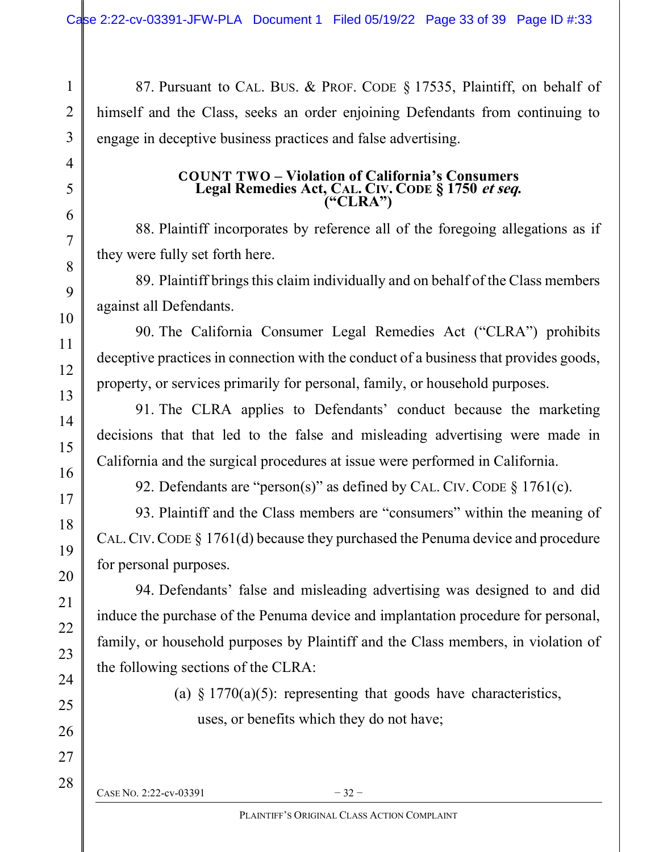87. Pursuant to CAL. BUS. & PROF. CODE § 17535, Plaintiff, on behalf of himself and the Class, seeks an order enjoining Defendants from continuing to engage in deceptive business practices and false advertising.

#### COUNT TWO – Violation of California's Consumers Legal Remedies Act, CAL. CIV. CODE § 1750 et seq. ("CLRA")

88. Plaintiff incorporates by reference all of the foregoing allegations as if they were fully set forth here.

89. Plaintiff brings this claim individually and on behalf of the Class members against all Defendants.

90. The California Consumer Legal Remedies Act ("CLRA") prohibits deceptive practices in connection with the conduct of a business that provides goods, property, or services primarily for personal, family, or household purposes.

91. The CLRA applies to Defendants' conduct because the marketing decisions that that led to the false and misleading advertising were made in California and the surgical procedures at issue were performed in California.

92. Defendants are "person(s)" as defined by CAL. CIV. CODE § 1761(c).

93. Plaintiff and the Class members are "consumers" within the meaning of CAL.CIV.CODE § 1761(d) because they purchased the Penuma device and procedure for personal purposes.

94. Defendants' false and misleading advertising was designed to and did induce the purchase of the Penuma device and implantation procedure for personal, family, or household purposes by Plaintiff and the Class members, in violation of the following sections of the CLRA:

> (a)  $§ 1770(a)(5)$ : representing that goods have characteristics, uses, or benefits which they do not have;

CASE NO. 2:22-cv-03391  $-32-$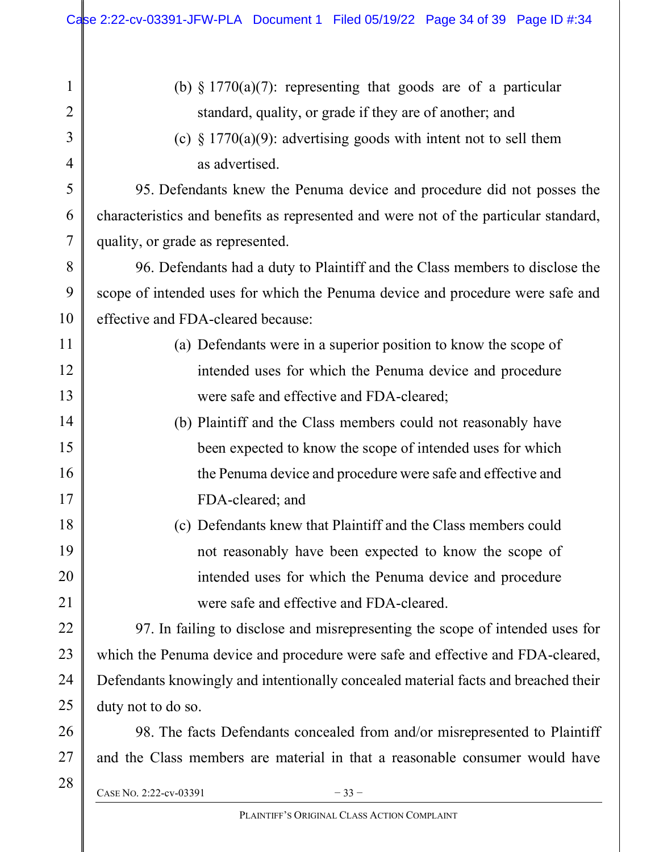| $\mathbf{1}$   | (b) $\S 1770(a)(7)$ : representing that goods are of a particular                    |  |  |
|----------------|--------------------------------------------------------------------------------------|--|--|
| $\overline{2}$ | standard, quality, or grade if they are of another; and                              |  |  |
| 3              | (c) $\S 1770(a)(9)$ : advertising goods with intent not to sell them                 |  |  |
| 4              | as advertised.                                                                       |  |  |
| 5              | 95. Defendants knew the Penuma device and procedure did not posses the               |  |  |
| 6              | characteristics and benefits as represented and were not of the particular standard, |  |  |
| 7              | quality, or grade as represented.                                                    |  |  |
| 8              | 96. Defendants had a duty to Plaintiff and the Class members to disclose the         |  |  |
| 9              | scope of intended uses for which the Penuma device and procedure were safe and       |  |  |
| 10             | effective and FDA-cleared because:                                                   |  |  |
| 11             | (a) Defendants were in a superior position to know the scope of                      |  |  |
| 12             | intended uses for which the Penuma device and procedure                              |  |  |
| 13             | were safe and effective and FDA-cleared;                                             |  |  |
| 14             | (b) Plaintiff and the Class members could not reasonably have                        |  |  |
| 15             | been expected to know the scope of intended uses for which                           |  |  |
| 16             | the Penuma device and procedure were safe and effective and                          |  |  |
| 17             | FDA-cleared; and                                                                     |  |  |
| 18             | (c) Defendants knew that Plaintiff and the Class members could                       |  |  |
| 19             | not reasonably have been expected to know the scope of                               |  |  |
| 20             | intended uses for which the Penuma device and procedure                              |  |  |
| 21             | were safe and effective and FDA-cleared.                                             |  |  |
| 22             | 97. In failing to disclose and misrepresenting the scope of intended uses for        |  |  |
| 23             | which the Penuma device and procedure were safe and effective and FDA-cleared,       |  |  |
| 24             | Defendants knowingly and intentionally concealed material facts and breached their   |  |  |
| 25             | duty not to do so.                                                                   |  |  |
| 26             | 98. The facts Defendants concealed from and/or misrepresented to Plaintiff           |  |  |
| 27             | and the Class members are material in that a reasonable consumer would have          |  |  |
| 28             | CASE No. 2:22-cv-03391<br>$-33-$                                                     |  |  |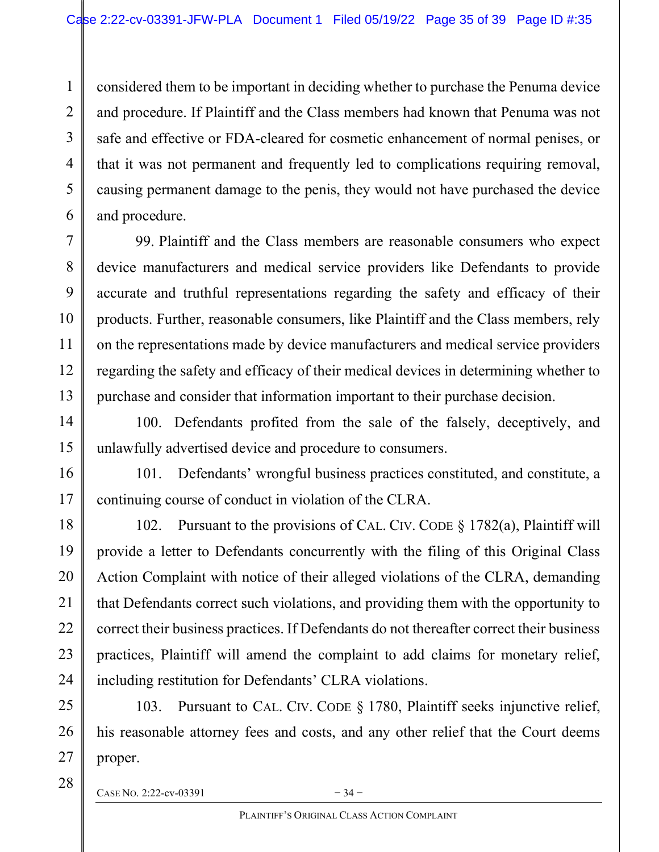considered them to be important in deciding whether to purchase the Penuma device and procedure. If Plaintiff and the Class members had known that Penuma was not safe and effective or FDA-cleared for cosmetic enhancement of normal penises, or that it was not permanent and frequently led to complications requiring removal, causing permanent damage to the penis, they would not have purchased the device and procedure.

99. Plaintiff and the Class members are reasonable consumers who expect device manufacturers and medical service providers like Defendants to provide accurate and truthful representations regarding the safety and efficacy of their products. Further, reasonable consumers, like Plaintiff and the Class members, rely on the representations made by device manufacturers and medical service providers regarding the safety and efficacy of their medical devices in determining whether to purchase and consider that information important to their purchase decision.

100. Defendants profited from the sale of the falsely, deceptively, and unlawfully advertised device and procedure to consumers.

101. Defendants' wrongful business practices constituted, and constitute, a continuing course of conduct in violation of the CLRA.

102. Pursuant to the provisions of CAL. CIV. CODE § 1782(a), Plaintiff will provide a letter to Defendants concurrently with the filing of this Original Class Action Complaint with notice of their alleged violations of the CLRA, demanding that Defendants correct such violations, and providing them with the opportunity to correct their business practices. If Defendants do not thereafter correct their business practices, Plaintiff will amend the complaint to add claims for monetary relief, including restitution for Defendants' CLRA violations.

103. Pursuant to CAL. CIV. CODE § 1780, Plaintiff seeks injunctive relief, his reasonable attorney fees and costs, and any other relief that the Court deems proper.

CASE NO. 2:22-cv-03391  $-34$  –

27 28

1

2

3

4

5

6

7

8

9

10

11

12

13

14

15

16

17

18

19

20

21

22

23

24

25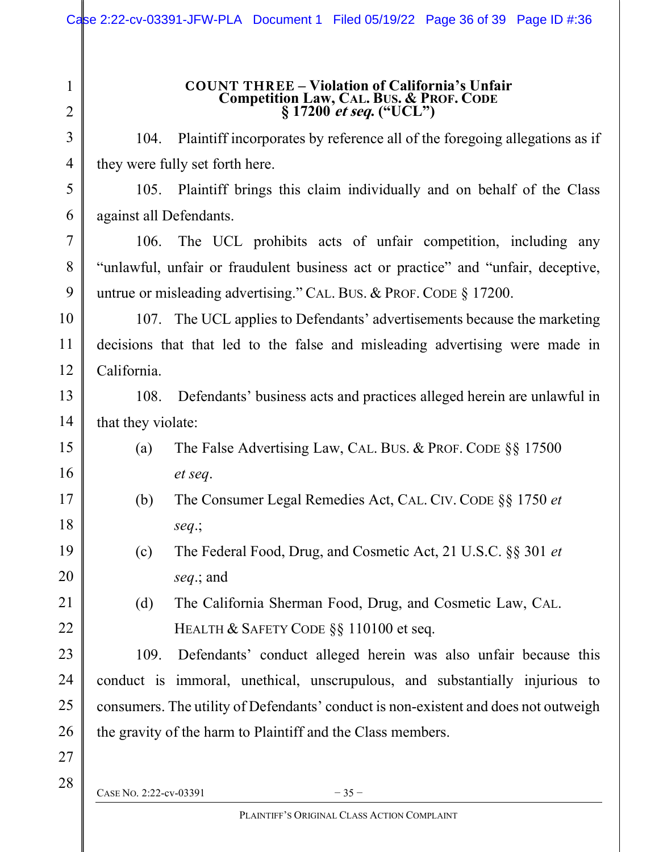### COUNT THREE – Violation of California's Unfair Competition Law, CAL. BUS. & PROF. CODE  $§ 17200$  *et seq.* ("UCL")

104. Plaintiff incorporates by reference all of the foregoing allegations as if they were fully set forth here.

105. Plaintiff brings this claim individually and on behalf of the Class against all Defendants.

106. The UCL prohibits acts of unfair competition, including any "unlawful, unfair or fraudulent business act or practice" and "unfair, deceptive, untrue or misleading advertising." CAL. BUS. & PROF. CODE § 17200.

107. The UCL applies to Defendants' advertisements because the marketing decisions that that led to the false and misleading advertising were made in California.

108. Defendants' business acts and practices alleged herein are unlawful in that they violate:

- (a) The False Advertising Law, CAL. BUS. & PROF. CODE §§ 17500 et seq.
- (b) The Consumer Legal Remedies Act, CAL. CIV. CODE §§ 1750 et seq.;
	- (c) The Federal Food, Drug, and Cosmetic Act, 21 U.S.C. §§ 301 et seq.; and

(d) The California Sherman Food, Drug, and Cosmetic Law, CAL. HEALTH & SAFETY CODE §§ 110100 et seq.

109. Defendants' conduct alleged herein was also unfair because this conduct is immoral, unethical, unscrupulous, and substantially injurious to consumers. The utility of Defendants' conduct is non-existent and does not outweigh the gravity of the harm to Plaintiff and the Class members.

28

27

1

2

3

4

5

6

7

8

9

10

11

12

13

14

15

16

17

18

19

20

21

22

23

24

25

26

CASE NO. 2:22-cv-03391  $-35-$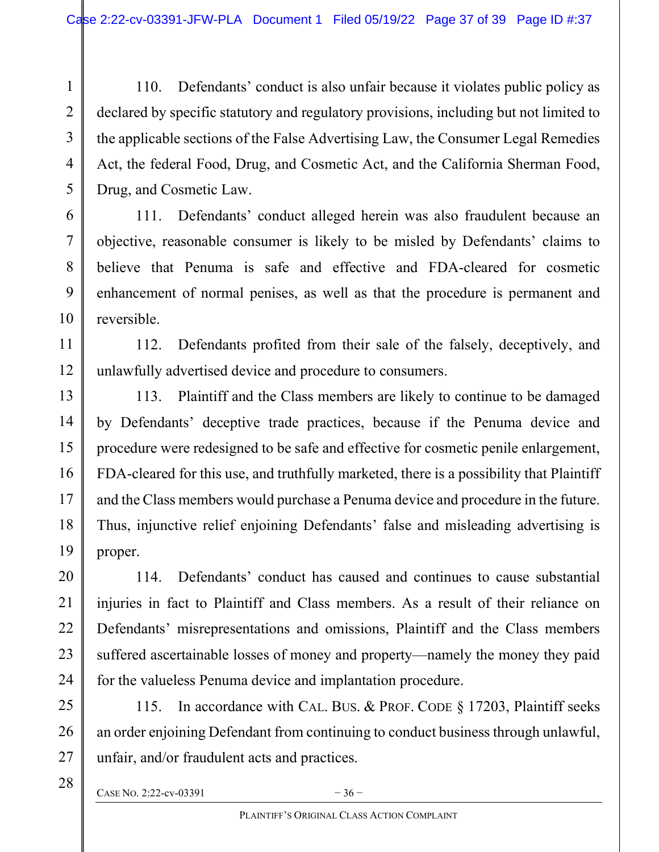110. Defendants' conduct is also unfair because it violates public policy as declared by specific statutory and regulatory provisions, including but not limited to the applicable sections of the False Advertising Law, the Consumer Legal Remedies Act, the federal Food, Drug, and Cosmetic Act, and the California Sherman Food, Drug, and Cosmetic Law.

111. Defendants' conduct alleged herein was also fraudulent because an objective, reasonable consumer is likely to be misled by Defendants' claims to believe that Penuma is safe and effective and FDA-cleared for cosmetic enhancement of normal penises, as well as that the procedure is permanent and reversible.

112. Defendants profited from their sale of the falsely, deceptively, and unlawfully advertised device and procedure to consumers.

113. Plaintiff and the Class members are likely to continue to be damaged by Defendants' deceptive trade practices, because if the Penuma device and procedure were redesigned to be safe and effective for cosmetic penile enlargement, FDA-cleared for this use, and truthfully marketed, there is a possibility that Plaintiff and the Class members would purchase a Penuma device and procedure in the future. Thus, injunctive relief enjoining Defendants' false and misleading advertising is proper.

114. Defendants' conduct has caused and continues to cause substantial injuries in fact to Plaintiff and Class members. As a result of their reliance on Defendants' misrepresentations and omissions, Plaintiff and the Class members suffered ascertainable losses of money and property—namely the money they paid for the valueless Penuma device and implantation procedure.

115. In accordance with CAL. BUS. & PROF. CODE § 17203, Plaintiff seeks an order enjoining Defendant from continuing to conduct business through unlawful, unfair, and/or fraudulent acts and practices.

CASE NO. 2:22-cv-03391  $-36$ 

1

2

3

4

5

6

7

8

9

10

11

12

13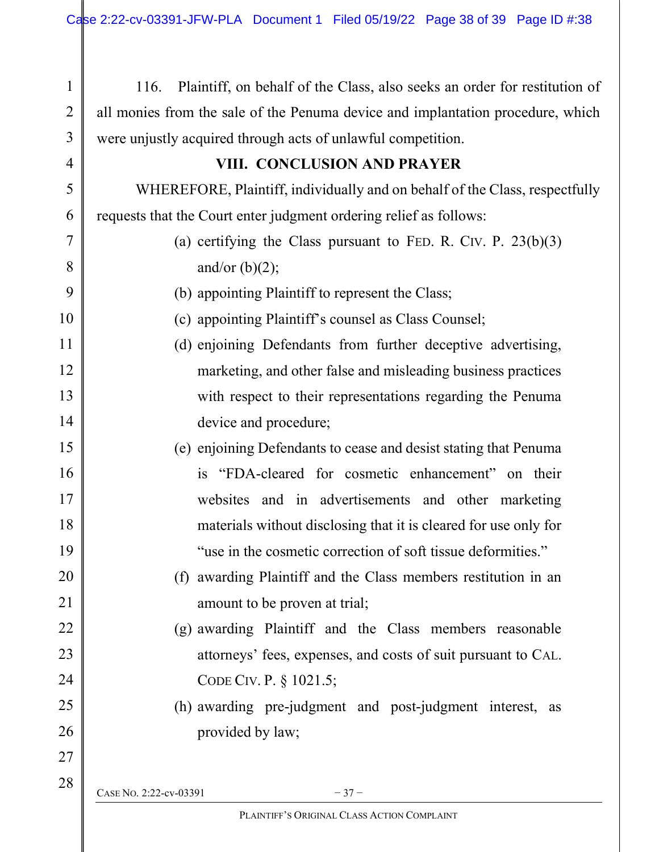| Plaintiff, on behalf of the Class, also seeks an order for restitution of<br>116. |  |  |  |
|-----------------------------------------------------------------------------------|--|--|--|
| all monies from the sale of the Penuma device and implantation procedure, which   |  |  |  |
| were unjustly acquired through acts of unlawful competition.                      |  |  |  |
| VIII. CONCLUSION AND PRAYER                                                       |  |  |  |
| WHEREFORE, Plaintiff, individually and on behalf of the Class, respectfully       |  |  |  |
| requests that the Court enter judgment ordering relief as follows:                |  |  |  |
| (a) certifying the Class pursuant to FED. R. CIV. P. $23(b)(3)$                   |  |  |  |
| and/or $(b)(2)$ ;                                                                 |  |  |  |
| (b) appointing Plaintiff to represent the Class;                                  |  |  |  |
| (c) appointing Plaintiff's counsel as Class Counsel;                              |  |  |  |
| (d) enjoining Defendants from further deceptive advertising,                      |  |  |  |
| marketing, and other false and misleading business practices                      |  |  |  |
| with respect to their representations regarding the Penuma                        |  |  |  |
| device and procedure;                                                             |  |  |  |
| (e) enjoining Defendants to cease and desist stating that Penuma                  |  |  |  |
| is "FDA-cleared for cosmetic enhancement" on their                                |  |  |  |
| websites and in advertisements and other marketing                                |  |  |  |
| materials without disclosing that it is cleared for use only for                  |  |  |  |
| "use in the cosmetic correction of soft tissue deformities."                      |  |  |  |
| (f) awarding Plaintiff and the Class members restitution in an                    |  |  |  |
| amount to be proven at trial;                                                     |  |  |  |
| (g) awarding Plaintiff and the Class members reasonable                           |  |  |  |
| attorneys' fees, expenses, and costs of suit pursuant to CAL.                     |  |  |  |
| CODE CIV. P. § 1021.5;                                                            |  |  |  |
| (h) awarding pre-judgment and post-judgment interest, as                          |  |  |  |
| provided by law;                                                                  |  |  |  |
|                                                                                   |  |  |  |
| CASE No. 2:22-cv-03391<br>$-37-$                                                  |  |  |  |
| PLAINTIFF'S ORIGINAL CLASS ACTION COMPLAINT                                       |  |  |  |
|                                                                                   |  |  |  |